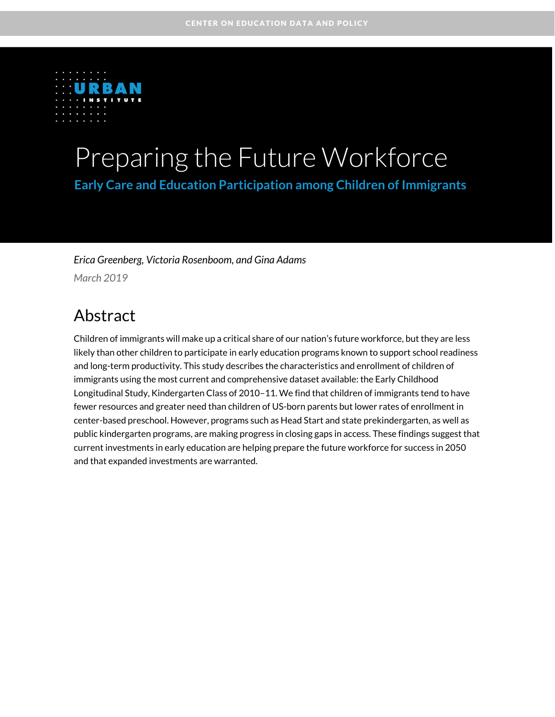

# Preparing the Future Workforce

**Early Care and Education Participation among Children of Immigrants** 

*Erica Greenberg, Victoria Rosenboom, and Gina Adams*

*March 2019*

### Abstract

Children of immigrants will make up a critical share of our nation's future workforce, but they are less likely than other children to participate in early education programs known to support school readiness and long-term productivity. This study describes the characteristics and enrollment of children of immigrants using the most current and comprehensive dataset available: the Early Childhood Longitudinal Study, Kindergarten Class of 2010–11. We find that children of immigrants tend to have fewer resources and greater need than children of US-born parents but lower rates of enrollment in center-based preschool. However, programs such as Head Start and state prekindergarten, as well as public kindergarten programs, are making progress in closing gaps in access. These findings suggest that current investments in early education are helping prepare the future workforce for success in 2050 and that expanded investments are warranted.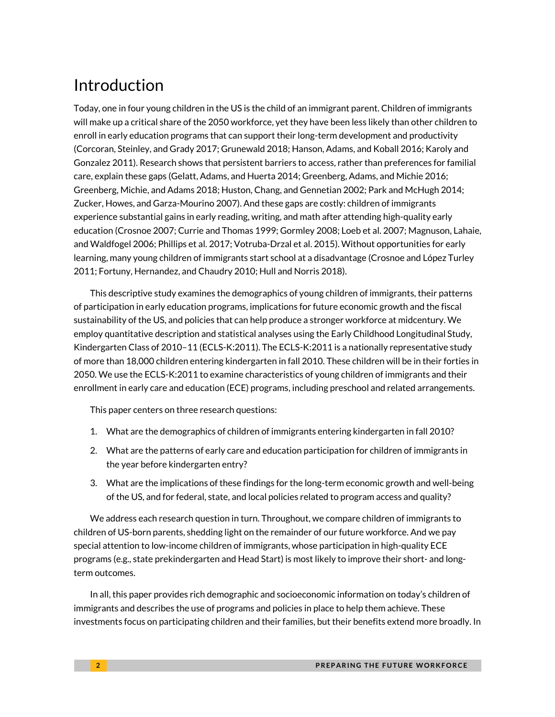# Introduction

Today, one in four young children in the US is the child of an immigrant parent. Children of immigrants will make up a critical share of the 2050 workforce, yet they have been less likely than other children to enroll in early education programs that can support their long-term development and productivity (Corcoran, Steinley, and Grady 2017; Grunewald 2018; Hanson, Adams, and Koball 2016; Karoly and Gonzalez 2011). Research shows that persistent barriers to access, rather than preferences for familial care, explain these gaps (Gelatt, Adams, and Huerta 2014; Greenberg, Adams, and Michie 2016; Greenberg, Michie, and Adams 2018; Huston, Chang, and Gennetian 2002; Park and McHugh 2014; Zucker, Howes, and Garza-Mourino 2007). And these gaps are costly: children of immigrants experience substantial gains in early reading, writing, and math after attending high-quality early education (Crosnoe 2007; Currie and Thomas 1999; Gormley 2008; Loeb et al. 2007; Magnuson, Lahaie, and Waldfogel 2006; Phillips et al. 2017; Votruba-Drzal et al. 2015). Without opportunities for early learning, many young children of immigrants start school at a disadvantage (Crosnoe and López Turley 2011; Fortuny, Hernandez, and Chaudry 2010; Hull and Norris 2018).

This descriptive study examines the demographics of young children of immigrants, their patterns of participation in early education programs, implications for future economic growth and the fiscal sustainability of the US, and policies that can help produce a stronger workforce at midcentury. We employ quantitative description and statistical analyses using the Early Childhood Longitudinal Study, Kindergarten Class of 2010–11 (ECLS-K:2011). The ECLS-K:2011 is a nationally representative study of more than 18,000 children entering kindergarten in fall 2010. These children will be in their forties in 2050. We use the ECLS-K:2011 to examine characteristics of young children of immigrants and their enrollment in early care and education (ECE) programs, including preschool and related arrangements.

This paper centers on three research questions:

- 1. What are the demographics of children of immigrants entering kindergarten in fall 2010?
- 2. What are the patterns of early care and education participation for children of immigrants in the year before kindergarten entry?
- 3. What are the implications of these findings for the long-term economic growth and well-being of the US, and for federal, state, and local policies related to program access and quality?

We address each research question in turn. Throughout, we compare children of immigrants to children of US-born parents, shedding light on the remainder of our future workforce. And we pay special attention to low-income children of immigrants, whose participation in high-quality ECE programs (e.g., state prekindergarten and Head Start) is most likely to improve their short- and longterm outcomes.

In all, this paper provides rich demographic and socioeconomic information on today's children of immigrants and describes the use of programs and policies in place to help them achieve. These investments focus on participating children and their families, but their benefits extend more broadly. In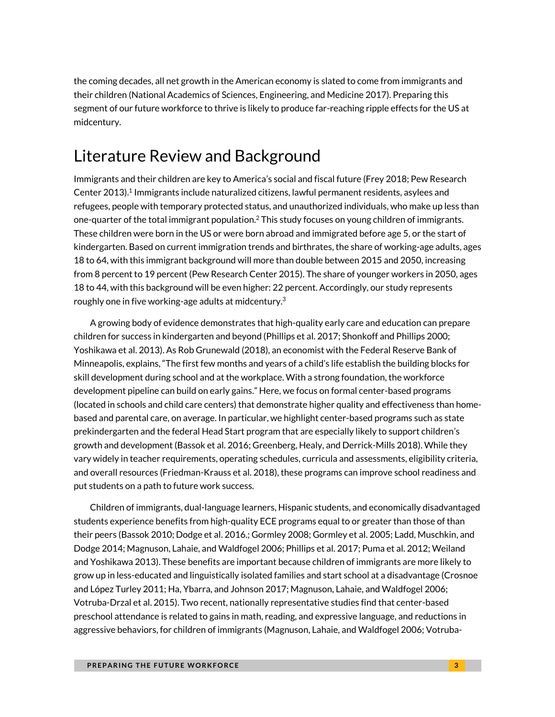the coming decades, all net growth in the American economy is slated to come from immigrants and their children (National Academics of Sciences, Engineering, and Medicine 2017). Preparing this segment of our future workforce to thrive is likely to produce far-reaching ripple effects for the US at midcentury.

### Literature Review and Background

Immigrants and their children are key to America's social and fiscal future (Frey 2018; Pew Research Center 2013).<sup>1</sup> Immigrants include naturalized citizens, lawful permanent residents, asylees and refugees, people with temporary protected status, and unauthorized individuals, who make up less than one-quarter of the total immigrant population.<sup>2</sup> This study focuses on young children of immigrants. These children were born in the US or were born abroad and immigrated before age 5, or the start of kindergarten. Based on current immigration trends and birthrates, the share of working-age adults, ages 18 to 64, with this immigrant background will more than double between 2015 and 2050, increasing from 8 percent to 19 percent (Pew Research Center 2015). The share of younger workers in 2050, ages 18 to 44, with this background will be even higher: 22 percent. Accordingly, our study represents roughly one in five working-age adults at midcentury. $^3$ 

A growing body of evidence demonstrates that high-quality early care and education can prepare children for success in kindergarten and beyond (Phillips et al. 2017; Shonkoff and Phillips 2000; Yoshikawa et al. 2013). As Rob Grunewald (2018), an economist with the Federal Reserve Bank of Minneapolis, explains, "The first few months and years of a child's life establish the building blocks for skill development during school and at the workplace. With a strong foundation, the workforce development pipeline can build on early gains." Here, we focus on formal center-based programs (located in schools and child care centers) that demonstrate higher quality and effectiveness than homebased and parental care, on average. In particular, we highlight center-based programs such as state prekindergarten and the federal Head Start program that are especially likely to support children's growth and development (Bassok et al. 2016; Greenberg, Healy, and Derrick-Mills 2018). While they vary widely in teacher requirements, operating schedules, curricula and assessments, eligibility criteria, and overall resources (Friedman-Krauss et al. 2018), these programs can improve school readiness and put students on a path to future work success.

Children of immigrants, dual-language learners, Hispanic students, and economically disadvantaged students experience benefits from high-quality ECE programs equal to or greater than those of than their peers (Bassok 2010; Dodge et al. 2016.; Gormley 2008; Gormley et al. 2005; Ladd, Muschkin, and Dodge 2014; Magnuson, Lahaie, and Waldfogel 2006; Phillips et al. 2017; Puma et al. 2012; Weiland and Yoshikawa 2013). These benefits are important because children of immigrants are more likely to grow up in less-educated and linguistically isolated families and start school at a disadvantage (Crosnoe and López Turley 2011; Ha, Ybarra, and Johnson 2017; Magnuson, Lahaie, and Waldfogel 2006; Votruba-Drzal et al. 2015). Two recent, nationally representative studies find that center-based preschool attendance is related to gains in math, reading, and expressive language, and reductions in aggressive behaviors, for children of immigrants (Magnuson, Lahaie, and Waldfogel 2006; Votruba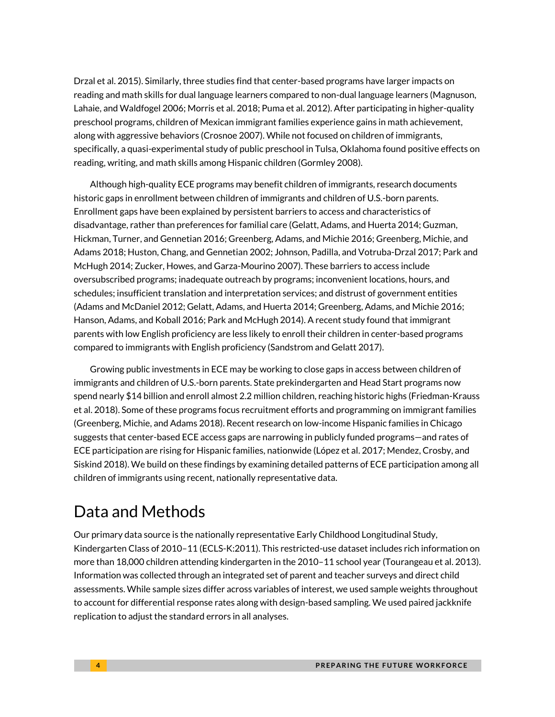Drzal et al. 2015). Similarly, three studies find that center-based programs have larger impacts on reading and math skills for dual language learners compared to non-dual language learners (Magnuson, Lahaie, and Waldfogel 2006; Morris et al. 2018; Puma et al. 2012). After participating in higher-quality preschool programs, children of Mexican immigrant families experience gains in math achievement, along with aggressive behaviors (Crosnoe 2007). While not focused on children of immigrants, specifically, a quasi-experimental study of public preschool in Tulsa, Oklahoma found positive effects on reading, writing, and math skills among Hispanic children (Gormley 2008).

Although high-quality ECE programs may benefit children of immigrants, research documents historic gaps in enrollment between children of immigrants and children of U.S.-born parents. Enrollment gaps have been explained by persistent barriers to access and characteristics of disadvantage, rather than preferences for familial care (Gelatt, Adams, and Huerta 2014; Guzman, Hickman, Turner, and Gennetian 2016; Greenberg, Adams, and Michie 2016; Greenberg, Michie, and Adams 2018; Huston, Chang, and Gennetian 2002; Johnson, Padilla, and Votruba-Drzal 2017; Park and McHugh 2014; Zucker, Howes, and Garza-Mourino 2007). These barriers to access include oversubscribed programs; inadequate outreach by programs; inconvenient locations, hours, and schedules; insufficient translation and interpretation services; and distrust of government entities (Adams and McDaniel 2012; Gelatt, Adams, and Huerta 2014; Greenberg, Adams, and Michie 2016; Hanson, Adams, and Koball 2016; Park and McHugh 2014). A recent study found that immigrant parents with low English proficiency are less likely to enroll their children in center-based programs compared to immigrants with English proficiency (Sandstrom and Gelatt 2017).

Growing public investments in ECE may be working to close gaps in access between children of immigrants and children of U.S.-born parents. State prekindergarten and Head Start programs now spend nearly \$14 billion and enroll almost 2.2 million children, reaching historic highs (Friedman-Krauss et al. 2018). Some of these programs focus recruitment efforts and programming on immigrant families (Greenberg, Michie, and Adams 2018). Recent research on low-income Hispanic families in Chicago suggests that center-based ECE access gaps are narrowing in publicly funded programs—and rates of ECE participation are rising for Hispanic families, nationwide (López et al. 2017; Mendez, Crosby, and Siskind 2018). We build on these findings by examining detailed patterns of ECE participation among all children of immigrants using recent, nationally representative data.

# Data and Methods

Our primary data source is the nationally representative Early Childhood Longitudinal Study, Kindergarten Class of 2010–11 (ECLS-K:2011). This restricted-use dataset includes rich information on more than 18,000 children attending kindergarten in the 2010–11 school year (Tourangeau et al. 2013). Information was collected through an integrated set of parent and teacher surveys and direct child assessments. While sample sizes differ across variables of interest, we used sample weights throughout to account for differential response rates along with design-based sampling. We used paired jackknife replication to adjust the standard errors in all analyses.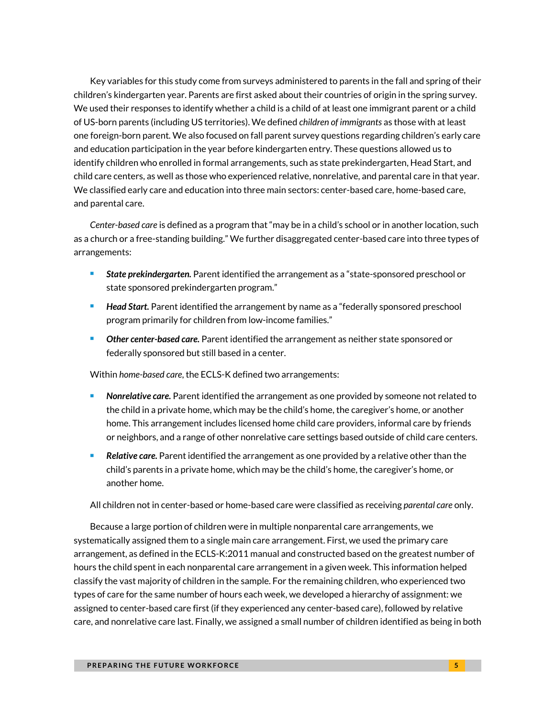Key variables for this study come from surveys administered to parents in the fall and spring of their children's kindergarten year. Parents are first asked about their countries of origin in the spring survey. We used their responses to identify whether a child is a child of at least one immigrant parent or a child of US-born parents (including US territories). We defined *children of immigrants* as those with at least one foreign-born parent*.* We also focused on fall parent survey questions regarding children's early care and education participation in the year before kindergarten entry. These questions allowed us to identify children who enrolled in formal arrangements, such as state prekindergarten, Head Start, and child care centers, as well as those who experienced relative, nonrelative, and parental care in that year. We classified early care and education into three main sectors: center-based care, home-based care, and parental care.

*Center-based care* is defined as a program that "may be in a child's school or in another location, such as a church or a free-standing building." We further disaggregated center-based care into three types of arrangements:

- *State prekindergarten.* Parent identified the arrangement as a "state-sponsored preschool or state sponsored prekindergarten program."
- **Head Start.** Parent identified the arrangement by name as a "federally sponsored preschool program primarily for children from low-income families."
- *Other center-based care.* Parent identified the arrangement as neither state sponsored or federally sponsored but still based in a center.

Within *home-based care*, the ECLS-K defined two arrangements:

- *Nonrelative care.* Parent identified the arrangement as one provided by someone not related to the child in a private home, which may be the child's home, the caregiver's home, or another home. This arrangement includes licensed home child care providers, informal care by friends or neighbors, and a range of other nonrelative care settings based outside of child care centers.
- *Relative care.* Parent identified the arrangement as one provided by a relative other than the child's parents in a private home, which may be the child's home, the caregiver's home, or another home.

All children not in center-based or home-based care were classified as receiving *parental care* only.

Because a large portion of children were in multiple nonparental care arrangements, we systematically assigned them to a single main care arrangement. First, we used the primary care arrangement, as defined in the ECLS-K:2011 manual and constructed based on the greatest number of hours the child spent in each nonparental care arrangement in a given week. This information helped classify the vast majority of children in the sample. For the remaining children, who experienced two types of care for the same number of hours each week, we developed a hierarchy of assignment: we assigned to center-based care first (if they experienced any center-based care), followed by relative care, and nonrelative care last. Finally, we assigned a small number of children identified as being in both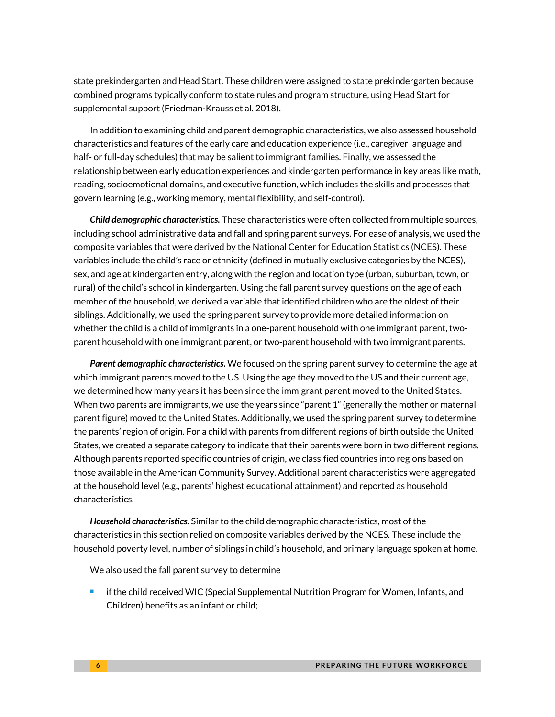state prekindergarten and Head Start. These children were assigned to state prekindergarten because combined programs typically conform to state rules and program structure, using Head Start for supplemental support (Friedman-Krauss et al. 2018).

In addition to examining child and parent demographic characteristics, we also assessed household characteristics and features of the early care and education experience (i.e., caregiver language and half- or full-day schedules) that may be salient to immigrant families. Finally, we assessed the relationship between early education experiences and kindergarten performance in key areas like math, reading, socioemotional domains, and executive function, which includes the skills and processes that govern learning (e.g., working memory, mental flexibility, and self-control).

*Child demographic characteristics.* These characteristics were often collected from multiple sources, including school administrative data and fall and spring parent surveys. For ease of analysis, we used the composite variables that were derived by the National Center for Education Statistics (NCES). These variables include the child's race or ethnicity (defined in mutually exclusive categories by the NCES), sex, and age at kindergarten entry, along with the region and location type (urban, suburban, town, or rural) of the child's school in kindergarten. Using the fall parent survey questions on the age of each member of the household, we derived a variable that identified children who are the oldest of their siblings. Additionally, we used the spring parent survey to provide more detailed information on whether the child is a child of immigrants in a one-parent household with one immigrant parent, twoparent household with one immigrant parent, or two-parent household with two immigrant parents.

*Parent demographic characteristics.* We focused on the spring parent survey to determine the age at which immigrant parents moved to the US. Using the age they moved to the US and their current age, we determined how many years it has been since the immigrant parent moved to the United States. When two parents are immigrants, we use the years since "parent 1" (generally the mother or maternal parent figure) moved to the United States. Additionally, we used the spring parent survey to determine the parents' region of origin. For a child with parents from different regions of birth outside the United States, we created a separate category to indicate that their parents were born in two different regions. Although parents reported specific countries of origin, we classified countries into regions based on those available in the American Community Survey. Additional parent characteristics were aggregated at the household level (e.g., parents' highest educational attainment) and reported as household characteristics.

*Household characteristics.* Similar to the child demographic characteristics, most of the characteristics in this section relied on composite variables derived by the NCES. These include the household poverty level, number of siblings in child's household, and primary language spoken at home.

We also used the fall parent survey to determine

 $\blacksquare$  if the child received WIC (Special Supplemental Nutrition Program for Women, Infants, and Children) benefits as an infant or child;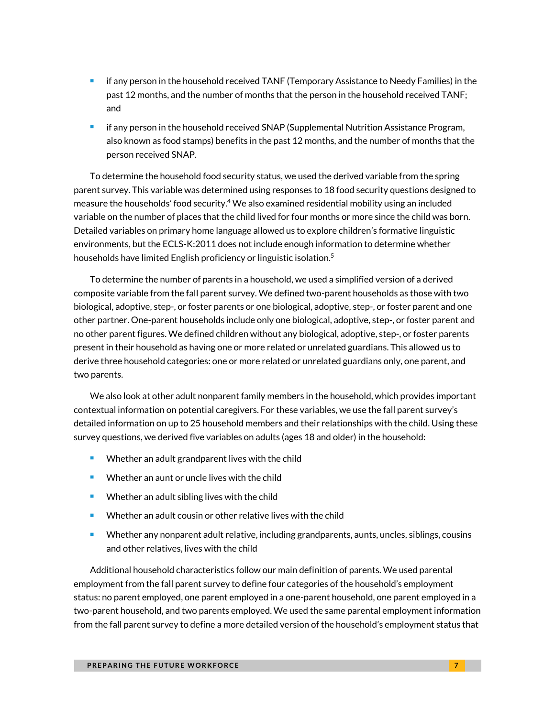- $\blacksquare$  if any person in the household received TANF (Temporary Assistance to Needy Families) in the past 12 months, and the number of months that the person in the household received TANF; and
- if any person in the household received SNAP (Supplemental Nutrition Assistance Program, also known as food stamps) benefits in the past 12 months, and the number of months that the person received SNAP.

To determine the household food security status, we used the derived variable from the spring parent survey. This variable was determined using responses to 18 food security questions designed to measure the households' food security.<sup>4</sup> We also examined residential mobility using an included variable on the number of places that the child lived for four months or more since the child was born. Detailed variables on primary home language allowed us to explore children's formative linguistic environments, but the ECLS-K:2011 does not include enough information to determine whether households have limited English proficiency or linguistic isolation.<sup>5</sup>

To determine the number of parents in a household, we used a simplified version of a derived composite variable from the fall parent survey. We defined two-parent households as those with two biological, adoptive, step-, or foster parents or one biological, adoptive, step-, or foster parent and one other partner. One-parent households include only one biological, adoptive, step-, or foster parent and no other parent figures. We defined children without any biological, adoptive, step-, or foster parents present in their household as having one or more related or unrelated guardians. This allowed us to derive three household categories: one or more related or unrelated guardians only, one parent, and two parents.

We also look at other adult nonparent family members in the household, which provides important contextual information on potential caregivers. For these variables, we use the fall parent survey's detailed information on up to 25 household members and their relationships with the child. Using these survey questions, we derived five variables on adults (ages 18 and older) in the household:

- Whether an adult grandparent lives with the child
- Whether an aunt or uncle lives with the child
- Whether an adult sibling lives with the child
- Whether an adult cousin or other relative lives with the child
- **URED 2018 Whether any nonparent adult relative, including grandparents, aunts, uncles, siblings, cousins** and other relatives, lives with the child

Additional household characteristics follow our main definition of parents. We used parental employment from the fall parent survey to define four categories of the household's employment status: no parent employed, one parent employed in a one-parent household, one parent employed in a two-parent household, and two parents employed. We used the same parental employment information from the fall parent survey to define a more detailed version of the household's employment status that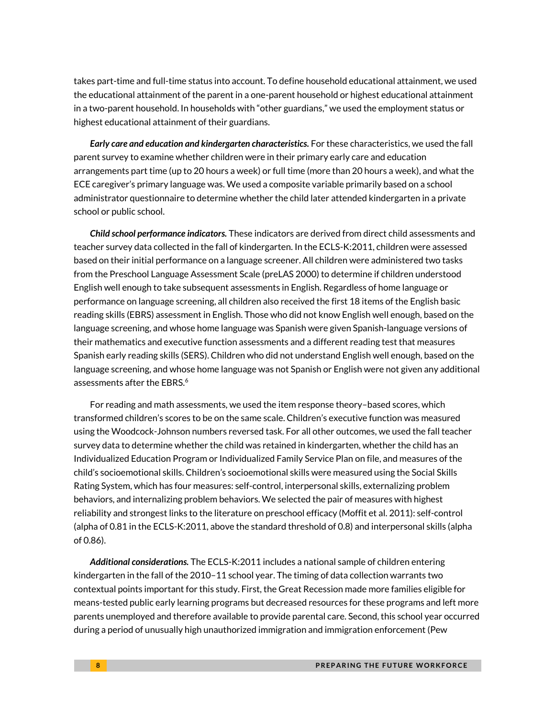takes part-time and full-time status into account. To define household educational attainment, we used the educational attainment of the parent in a one-parent household or highest educational attainment in a two-parent household. In households with "other guardians," we used the employment status or highest educational attainment of their guardians.

*Early care and education and kindergarten characteristics.* For these characteristics, we used the fall parent survey to examine whether children were in their primary early care and education arrangements part time (up to 20 hours a week) or full time (more than 20 hours a week), and what the ECE caregiver's primary language was. We used a composite variable primarily based on a school administrator questionnaire to determine whether the child later attended kindergarten in a private school or public school.

*Child school performance indicators.* These indicators are derived from direct child assessments and teacher survey data collected in the fall of kindergarten. In the ECLS-K:2011, children were assessed based on their initial performance on a language screener. All children were administered two tasks from the Preschool Language Assessment Scale (preLAS 2000) to determine if children understood English well enough to take subsequent assessments in English. Regardless of home language or performance on language screening, all children also received the first 18 items of the English basic reading skills (EBRS) assessment in English. Those who did not know English well enough, based on the language screening, and whose home language was Spanish were given Spanish-language versions of their mathematics and executive function assessments and a different reading test that measures Spanish early reading skills (SERS). Children who did not understand English well enough, based on the language screening, and whose home language was not Spanish or English were not given any additional assessments after the EBRS. $6$ 

For reading and math assessments, we used the item response theory–based scores, which transformed children's scores to be on the same scale. Children's executive function was measured using the Woodcock-Johnson numbers reversed task. For all other outcomes, we used the fall teacher survey data to determine whether the child was retained in kindergarten, whether the child has an Individualized Education Program or Individualized Family Service Plan on file, and measures of the child's socioemotional skills. Children's socioemotional skills were measured using the Social Skills Rating System, which has four measures: self-control, interpersonal skills, externalizing problem behaviors, and internalizing problem behaviors. We selected the pair of measures with highest reliability and strongest links to the literature on preschool efficacy (Moffit et al. 2011): self-control (alpha of 0.81 in the ECLS-K:2011, above the standard threshold of 0.8) and interpersonal skills (alpha of 0.86).

*Additional considerations.* The ECLS-K:2011 includes a national sample of children entering kindergarten in the fall of the 2010–11 school year. The timing of data collection warrants two contextual points important for this study. First, the Great Recession made more families eligible for means-tested public early learning programs but decreased resources for these programs and left more parents unemployed and therefore available to provide parental care. Second, this school year occurred during a period of unusually high unauthorized immigration and immigration enforcement (Pew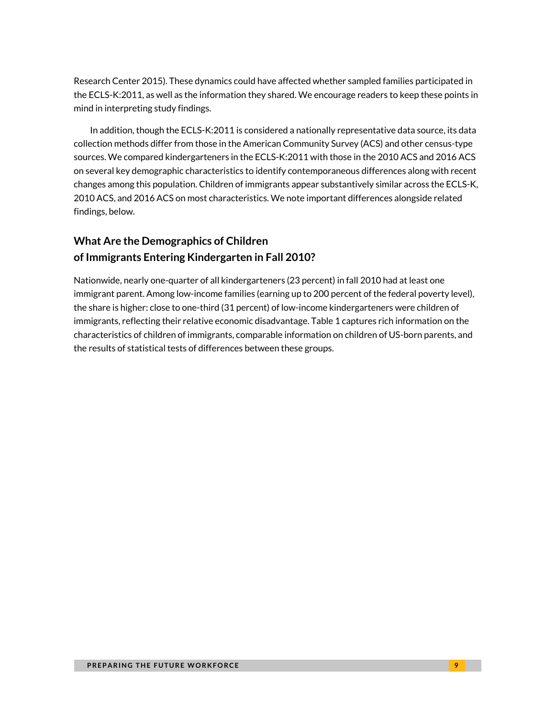Research Center 2015). These dynamics could have affected whether sampled families participated in the ECLS-K:2011, as well as the information they shared. We encourage readers to keep these points in mind in interpreting study findings.

In addition, though the ECLS-K:2011 is considered a nationally representative data source, its data collection methods differ from those in the American Community Survey (ACS) and other census-type sources. We compared kindergarteners in the ECLS-K:2011 with those in the 2010 ACS and 2016 ACS on several key demographic characteristics to identify contemporaneous differences along with recent changes among this population. Children of immigrants appear substantively similar across the ECLS-K, 2010 ACS, and 2016 ACS on most characteristics. We note important differences alongside related findings, below.

### **What Are the Demographics of Children of Immigrants Entering Kindergarten in Fall 2010?**

Nationwide, nearly one-quarter of all kindergarteners (23 percent) in fall 2010 had at least one immigrant parent. Among low-income families (earning up to 200 percent of the federal poverty level), the share is higher: close to one-third (31 percent) of low-income kindergarteners were children of immigrants, reflecting their relative economic disadvantage. Table 1 captures rich information on the characteristics of children of immigrants, comparable information on children of US-born parents, and the results of statistical tests of differences between these groups.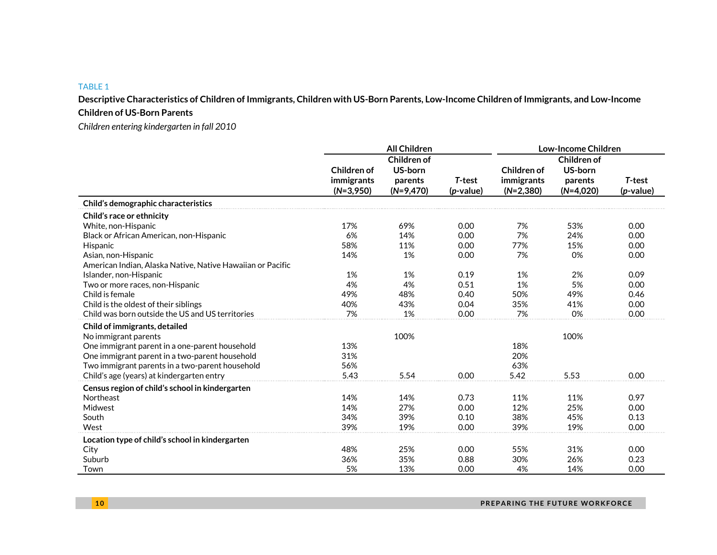#### TABLE 1

**Descriptive Characteristics of Children of Immigrants, Children with US-Born Parents, Low-Income Children of Immigrants, and Low-Income Children of US-Born Parents**

*Children entering kindergarten in fall 2010*

|                                                            |                                          | <b>All Children</b>                                     |                              | <b>Low-Income Children</b>               |                                                  |                        |  |
|------------------------------------------------------------|------------------------------------------|---------------------------------------------------------|------------------------------|------------------------------------------|--------------------------------------------------|------------------------|--|
|                                                            | Children of<br>immigrants<br>$(N=3,950)$ | <b>Children of</b><br>US-born<br>parents<br>$(N=9,470)$ | T-test<br>( <i>p</i> -value) | Children of<br>immigrants<br>$(N=2,380)$ | Children of<br>US-born<br>parents<br>$(N=4,020)$ | T-test<br>$(p$ -value) |  |
| Child's demographic characteristics                        |                                          |                                                         |                              |                                          |                                                  |                        |  |
| Child's race or ethnicity                                  |                                          |                                                         |                              |                                          |                                                  |                        |  |
| White, non-Hispanic                                        | 17%                                      | 69%                                                     | 0.00                         | 7%                                       | 53%                                              | 0.00                   |  |
| Black or African American, non-Hispanic                    | 6%                                       | 14%                                                     | 0.00                         | 7%                                       | 24%                                              | 0.00                   |  |
| Hispanic                                                   | 58%                                      | 11%                                                     | 0.00                         | 77%                                      | 15%                                              | 0.00                   |  |
| Asian, non-Hispanic                                        | 14%                                      | 1%                                                      | 0.00                         | 7%                                       | 0%                                               | 0.00                   |  |
| American Indian, Alaska Native, Native Hawaiian or Pacific |                                          |                                                         |                              |                                          |                                                  |                        |  |
| Islander, non-Hispanic                                     | 1%                                       | 1%                                                      | 0.19                         | 1%                                       | 2%                                               | 0.09                   |  |
| Two or more races, non-Hispanic                            | 4%                                       | 4%                                                      | 0.51                         | 1%                                       | 5%                                               | 0.00                   |  |
| Child is female                                            | 49%                                      | 48%                                                     | 0.40                         | 50%                                      | 49%                                              | 0.46                   |  |
| Child is the oldest of their siblings                      | 40%                                      | 43%                                                     | 0.04                         | 35%                                      | 41%                                              | 0.00                   |  |
| Child was born outside the US and US territories           | 7%                                       | 1%                                                      | 0.00                         | 7%                                       | 0%                                               | 0.00                   |  |
| Child of immigrants, detailed                              |                                          |                                                         |                              |                                          |                                                  |                        |  |
| No immigrant parents                                       |                                          | 100%                                                    |                              |                                          | 100%                                             |                        |  |
| One immigrant parent in a one-parent household             | 13%                                      |                                                         |                              | 18%                                      |                                                  |                        |  |
| One immigrant parent in a two-parent household             | 31%                                      |                                                         |                              | 20%                                      |                                                  |                        |  |
| Two immigrant parents in a two-parent household            | 56%                                      |                                                         |                              | 63%                                      |                                                  |                        |  |
| Child's age (years) at kindergarten entry                  | 5.43                                     | 5.54                                                    | 0.00                         | 5.42                                     | 5.53                                             | 0.00                   |  |
| Census region of child's school in kindergarten            |                                          |                                                         |                              |                                          |                                                  |                        |  |
| Northeast                                                  | 14%                                      | 14%                                                     | 0.73                         | 11%                                      | 11%                                              | 0.97                   |  |
| Midwest                                                    | 14%                                      | 27%                                                     | 0.00                         | 12%                                      | 25%                                              | 0.00                   |  |
| South                                                      | 34%                                      | 39%                                                     | 0.10                         | 38%                                      | 45%                                              | 0.13                   |  |
| West                                                       | 39%                                      | 19%                                                     | 0.00                         | 39%                                      | 19%                                              | 0.00                   |  |
| Location type of child's school in kindergarten            |                                          |                                                         |                              |                                          |                                                  |                        |  |
| City                                                       | 48%                                      | 25%                                                     | 0.00                         | 55%                                      | 31%                                              | 0.00                   |  |
| Suburb                                                     | 36%                                      | 35%                                                     | 0.88                         | 30%                                      | 26%                                              | 0.23                   |  |
| Town                                                       | 5%                                       | 13%                                                     | 0.00                         | 4%                                       | 14%                                              | 0.00                   |  |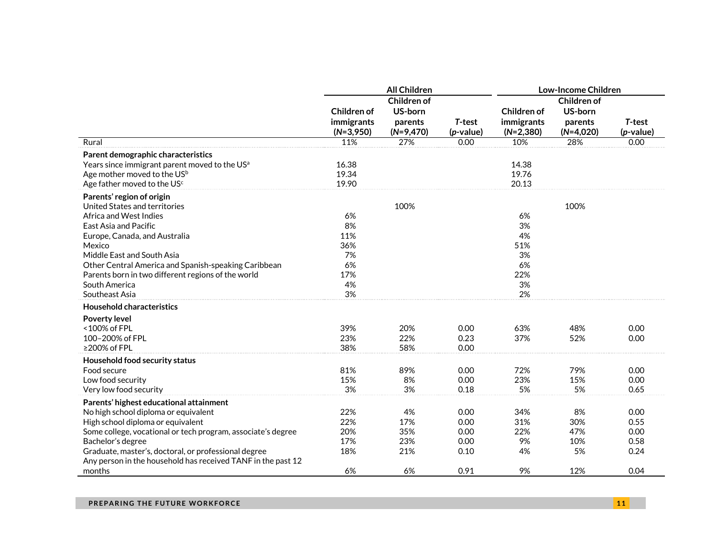|                                                                                                                                                                                                                                                                                                                                         |                                                       | <b>All Children</b>                              |                                      | <b>Low-Income Children</b>                           |                                                  |                                      |  |
|-----------------------------------------------------------------------------------------------------------------------------------------------------------------------------------------------------------------------------------------------------------------------------------------------------------------------------------------|-------------------------------------------------------|--------------------------------------------------|--------------------------------------|------------------------------------------------------|--------------------------------------------------|--------------------------------------|--|
|                                                                                                                                                                                                                                                                                                                                         | Children of<br>immigrants<br>$(N=3,950)$              | Children of<br>US-born<br>parents<br>$(N=9,470)$ | T-test<br>(p-value)                  | Children of<br>immigrants<br>$(N=2,380)$             | Children of<br>US-born<br>parents<br>$(N=4,020)$ | T-test<br>$(p$ -value)               |  |
| Rural                                                                                                                                                                                                                                                                                                                                   | 11%                                                   | 27%                                              | 0.00                                 | 10%                                                  | 28%                                              | 0.00                                 |  |
| Parent demographic characteristics<br>Years since immigrant parent moved to the US <sup>a</sup><br>Age mother moved to the US <sup>b</sup><br>Age father moved to the US <sup>c</sup>                                                                                                                                                   | 16.38<br>19.34<br>19.90                               |                                                  |                                      | 14.38<br>19.76<br>20.13                              |                                                  |                                      |  |
| Parents' region of origin<br>United States and territories<br>Africa and West Indies<br>East Asia and Pacific<br>Europe, Canada, and Australia<br>Mexico<br>Middle East and South Asia<br>Other Central America and Spanish-speaking Caribbean<br>Parents born in two different regions of the world<br>South America<br>Southeast Asia | 6%<br>8%<br>11%<br>36%<br>7%<br>6%<br>17%<br>4%<br>3% | 100%                                             |                                      | 6%<br>3%<br>4%<br>51%<br>3%<br>6%<br>22%<br>3%<br>2% | 100%                                             |                                      |  |
| <b>Household characteristics</b>                                                                                                                                                                                                                                                                                                        |                                                       |                                                  |                                      |                                                      |                                                  |                                      |  |
| Poverty level<br><100% of FPL<br>100-200% of FPL<br>≥200% of FPL                                                                                                                                                                                                                                                                        | 39%<br>23%<br>38%                                     | 20%<br>22%<br>58%                                | 0.00<br>0.23<br>0.00                 | 63%<br>37%                                           | 48%<br>52%                                       | 0.00<br>0.00                         |  |
| Household food security status<br>Food secure<br>Low food security<br>Very low food security                                                                                                                                                                                                                                            | 81%<br>15%<br>3%                                      | 89%<br>8%<br>3%                                  | 0.00<br>0.00<br>0.18                 | 72%<br>23%<br>5%                                     | 79%<br>15%<br>5%                                 | 0.00<br>0.00<br>0.65                 |  |
| Parents' highest educational attainment<br>No high school diploma or equivalent<br>High school diploma or equivalent<br>Some college, vocational or tech program, associate's degree<br>Bachelor's degree<br>Graduate, master's, doctoral, or professional degree<br>Any person in the household has received TANF in the past 12       | 22%<br>22%<br>20%<br>17%<br>18%                       | 4%<br>17%<br>35%<br>23%<br>21%                   | 0.00<br>0.00<br>0.00<br>0.00<br>0.10 | 34%<br>31%<br>22%<br>9%<br>4%                        | 8%<br>30%<br>47%<br>10%<br>5%                    | 0.00<br>0.55<br>0.00<br>0.58<br>0.24 |  |
| months                                                                                                                                                                                                                                                                                                                                  | 6%                                                    | 6%                                               | 0.91                                 | 9%                                                   | 12%                                              | 0.04                                 |  |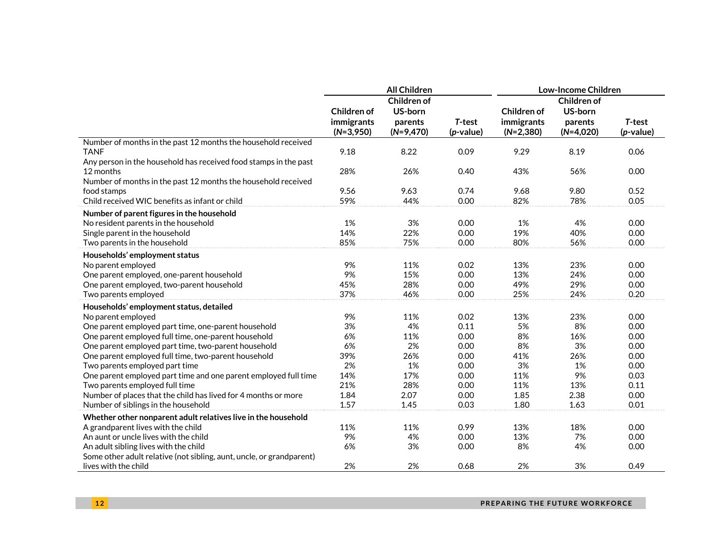|                                                                      |                    | <b>All Children</b> |              | Low-Income Children |             |              |  |  |
|----------------------------------------------------------------------|--------------------|---------------------|--------------|---------------------|-------------|--------------|--|--|
|                                                                      |                    | Children of         |              | Children of         |             |              |  |  |
|                                                                      | <b>Children of</b> | US-born             |              | Children of         | US-born     |              |  |  |
|                                                                      | immigrants         | parents             | T-test       | immigrants          | parents     | T-test       |  |  |
|                                                                      | $(N=3,950)$        | $(N=9,470)$         | $(p$ -value) | $(N=2,380)$         | $(N=4,020)$ | $(p$ -value) |  |  |
| Number of months in the past 12 months the household received        |                    |                     |              |                     |             |              |  |  |
| <b>TANF</b>                                                          | 9.18               | 8.22                | 0.09         | 9.29                | 8.19        | 0.06         |  |  |
| Any person in the household has received food stamps in the past     |                    |                     |              |                     |             |              |  |  |
| 12 months                                                            | 28%                | 26%                 | 0.40         | 43%                 | 56%         | 0.00         |  |  |
| Number of months in the past 12 months the household received        |                    |                     |              |                     |             |              |  |  |
| food stamps                                                          | 9.56               | 9.63                | 0.74         | 9.68                | 9.80        | 0.52         |  |  |
| Child received WIC benefits as infant or child                       | 59%                | 44%                 | 0.00         | 82%                 | 78%         | 0.05         |  |  |
| Number of parent figures in the household                            |                    |                     |              |                     |             |              |  |  |
| No resident parents in the household                                 | 1%                 | 3%                  | 0.00         | 1%                  | 4%          | 0.00         |  |  |
| Single parent in the household                                       | 14%                | 22%                 | 0.00         | 19%                 | 40%         | 0.00         |  |  |
| Two parents in the household                                         | 85%                | 75%                 | 0.00         | 80%                 | 56%         | 0.00         |  |  |
| Households' employment status                                        |                    |                     |              |                     |             |              |  |  |
| No parent employed                                                   | 9%                 | 11%                 | 0.02         | 13%                 | 23%         | 0.00         |  |  |
| One parent employed, one-parent household                            | 9%                 | 15%                 | 0.00         | 13%                 | 24%         | 0.00         |  |  |
| One parent employed, two-parent household                            | 45%                | 28%                 | 0.00         | 49%                 | 29%         | 0.00         |  |  |
| Two parents employed                                                 | 37%                | 46%                 | 0.00         | 25%                 | 24%         | 0.20         |  |  |
| Households' employment status, detailed                              |                    |                     |              |                     |             |              |  |  |
| No parent employed                                                   | 9%                 | 11%                 | 0.02         | 13%                 | 23%         | 0.00         |  |  |
| One parent employed part time, one-parent household                  | 3%                 | 4%                  | 0.11         | 5%                  | 8%          | 0.00         |  |  |
| One parent employed full time, one-parent household                  | 6%                 | 11%                 | 0.00         | 8%                  | 16%         | 0.00         |  |  |
| One parent employed part time, two-parent household                  | 6%                 | 2%                  | 0.00         | 8%                  | 3%          | 0.00         |  |  |
| One parent employed full time, two-parent household                  | 39%                | 26%                 | 0.00         | 41%                 | 26%         | 0.00         |  |  |
| Two parents employed part time                                       | 2%                 | 1%                  | 0.00         | 3%                  | 1%          | 0.00         |  |  |
| One parent employed part time and one parent employed full time      | 14%                | 17%                 | 0.00         | 11%                 | 9%          | 0.03         |  |  |
| Two parents employed full time                                       | 21%                | 28%                 | 0.00         | 11%                 | 13%         | 0.11         |  |  |
| Number of places that the child has lived for 4 months or more       | 1.84               | 2.07                | 0.00         | 1.85                | 2.38        | 0.00         |  |  |
| Number of siblings in the household                                  | 1.57               | 1.45                | 0.03         | 1.80                | 1.63        | 0.01         |  |  |
| Whether other nonparent adult relatives live in the household        |                    |                     |              |                     |             |              |  |  |
| A grandparent lives with the child                                   | 11%                | 11%                 | 0.99         | 13%                 | 18%         | 0.00         |  |  |
| An aunt or uncle lives with the child                                | 9%                 | 4%                  | 0.00         | 13%                 | 7%          | 0.00         |  |  |
| An adult sibling lives with the child                                | 6%                 | 3%                  | 0.00         | 8%                  | 4%          | 0.00         |  |  |
| Some other adult relative (not sibling, aunt, uncle, or grandparent) |                    |                     |              |                     |             |              |  |  |
| lives with the child                                                 | 2%                 | 2%                  | 0.68         | 2%                  | 3%          | 0.49         |  |  |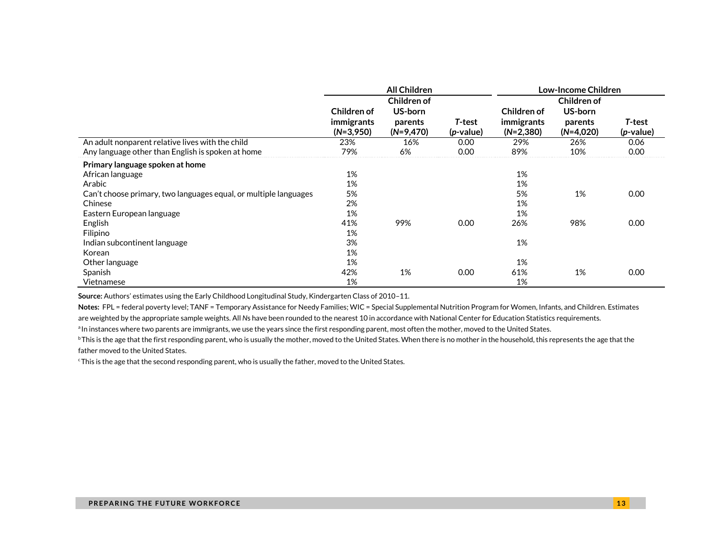|                                                                  |                   | <b>All Children</b> |                    | Low-Income Children |             |              |  |
|------------------------------------------------------------------|-------------------|---------------------|--------------------|---------------------|-------------|--------------|--|
|                                                                  |                   | Children of         |                    |                     | Children of |              |  |
|                                                                  | Children of       | US-born             |                    | Children of         | US-born     |              |  |
|                                                                  | <i>immigrants</i> | parents             | T-test             | immigrants          | parents     | T-test       |  |
|                                                                  | $(N=3,950)$       | $(N=9,470)$         | ( <i>p</i> -value) | $(N=2,380)$         | $(N=4,020)$ | $(p$ -value) |  |
| An adult nonparent relative lives with the child                 | 23%               | 16%                 | 0.00               | 29%                 | 26%         | 0.06         |  |
| Any language other than English is spoken at home                | 79%               | 6%                  | 0.00               | 89%                 | 10%         | 0.00         |  |
| Primary language spoken at home                                  |                   |                     |                    |                     |             |              |  |
| African language                                                 | 1%                |                     |                    | 1%                  |             |              |  |
| Arabic                                                           | 1%                |                     |                    | 1%                  |             |              |  |
| Can't choose primary, two languages equal, or multiple languages | 5%                |                     |                    | 5%                  | 1%          | 0.00         |  |
| Chinese                                                          | 2%                |                     |                    | 1%                  |             |              |  |
| Eastern European language                                        | 1%                |                     |                    | 1%                  |             |              |  |
| English                                                          | 41%               | 99%                 | 0.00               | 26%                 | 98%         | 0.00         |  |
| Filipino                                                         | 1%                |                     |                    |                     |             |              |  |
| Indian subcontinent language                                     | 3%                |                     |                    | 1%                  |             |              |  |
| Korean                                                           | 1%                |                     |                    |                     |             |              |  |
| Other language                                                   | 1%                |                     |                    | 1%                  |             |              |  |
| Spanish                                                          | 42%               | 1%                  | 0.00               | 61%                 | 1%          | 0.00         |  |
| Vietnamese                                                       | 1%                |                     |                    | 1%                  |             |              |  |

**Source:** Authors' estimates using the Early Childhood Longitudinal Study, Kindergarten Class of 2010–11.

**Notes:** FPL = federal poverty level; TANF = Temporary Assistance for Needy Families; WIC = Special Supplemental Nutrition Program for Women, Infants, and Children. Estimates are weighted by the appropriate sample weights. All *N*s have been rounded to the nearest 10 in accordance with National Center for Education Statistics requirements.

<sup>a</sup>In instances where two parents are immigrants, we use the years since the first responding parent, most often the mother, moved to the United States.

<sup>b</sup>This is the age that the first responding parent, who is usually the mother, moved to the United States. When there is no mother in the household, this represents the age that the father moved to the United States.

<sup>c</sup>This is the age that the second responding parent, who is usually the father, moved to the United States.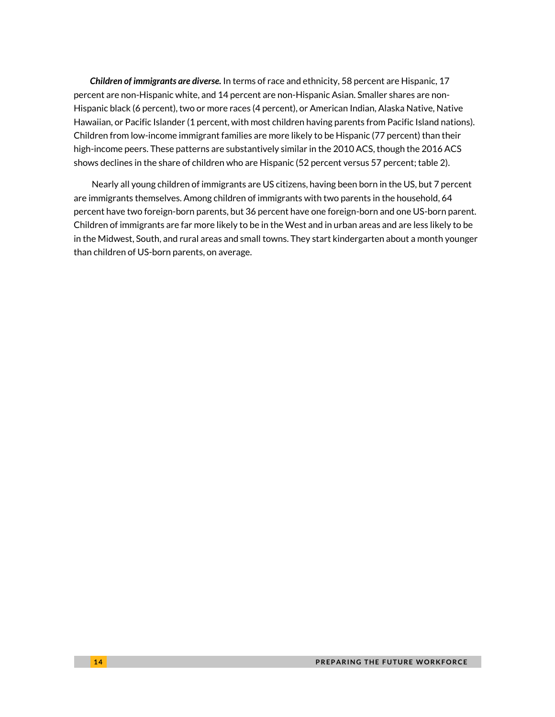*Children of immigrants are diverse.* In terms of race and ethnicity, 58 percent are Hispanic, 17 percent are non-Hispanic white, and 14 percent are non-Hispanic Asian. Smaller shares are non-Hispanic black (6 percent), two or more races (4 percent), or American Indian, Alaska Native, Native Hawaiian, or Pacific Islander (1 percent, with most children having parents from Pacific Island nations). Children from low-income immigrant families are more likely to be Hispanic (77 percent) than their high-income peers. These patterns are substantively similar in the 2010 ACS, though the 2016 ACS shows declines in the share of children who are Hispanic (52 percent versus 57 percent; table 2).

Nearly all young children of immigrants are US citizens, having been born in the US, but 7 percent are immigrants themselves. Among children of immigrants with two parents in the household, 64 percent have two foreign-born parents, but 36 percent have one foreign-born and one US-born parent. Children of immigrants are far more likely to be in the West and in urban areas and are less likely to be in the Midwest, South, and rural areas and small towns. They start kindergarten about a month younger than children of US-born parents, on average.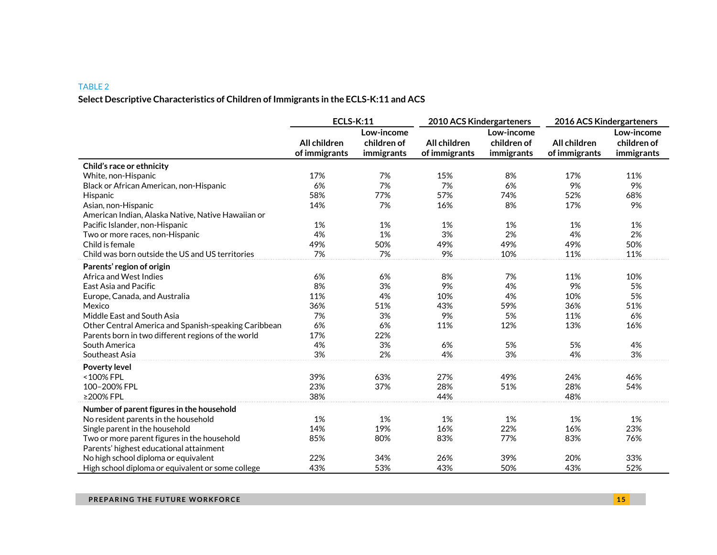#### TABLE 2

### **Select Descriptive Characteristics of Children of Immigrants in the ECLS-K:11 and ACS**

|                                                      | <b>ECLS-K:11</b>              |                                         | 2010 ACS Kindergarteners      |                                         | 2016 ACS Kindergarteners      |                                         |  |
|------------------------------------------------------|-------------------------------|-----------------------------------------|-------------------------------|-----------------------------------------|-------------------------------|-----------------------------------------|--|
|                                                      | All children<br>of immigrants | Low-income<br>children of<br>immigrants | All children<br>of immigrants | Low-income<br>children of<br>immigrants | All children<br>of immigrants | Low-income<br>children of<br>immigrants |  |
| Child's race or ethnicity                            |                               |                                         |                               |                                         |                               |                                         |  |
| White, non-Hispanic                                  | 17%                           | 7%                                      | 15%                           | 8%                                      | 17%                           | 11%                                     |  |
| Black or African American, non-Hispanic              | 6%                            | 7%                                      | 7%                            | 6%                                      | 9%                            | 9%                                      |  |
| Hispanic                                             | 58%                           | 77%                                     | 57%                           | 74%                                     | 52%                           | 68%                                     |  |
| Asian, non-Hispanic                                  | 14%                           | 7%                                      | 16%                           | 8%                                      | 17%                           | 9%                                      |  |
| American Indian, Alaska Native, Native Hawaiian or   |                               |                                         |                               |                                         |                               |                                         |  |
| Pacific Islander, non-Hispanic                       | 1%                            | 1%                                      | 1%                            | 1%                                      | 1%                            | 1%                                      |  |
| Two or more races, non-Hispanic                      | 4%                            | 1%                                      | 3%                            | 2%                                      | 4%                            | 2%                                      |  |
| Child is female                                      | 49%                           | 50%                                     | 49%                           | 49%                                     | 49%                           | 50%                                     |  |
| Child was born outside the US and US territories     | 7%                            | 7%                                      | 9%                            | 10%                                     | 11%                           | 11%                                     |  |
| Parents' region of origin                            |                               |                                         |                               |                                         |                               |                                         |  |
| Africa and West Indies                               | 6%                            | 6%                                      | 8%                            | 7%                                      | 11%                           | 10%                                     |  |
| East Asia and Pacific                                | 8%                            | 3%                                      | 9%                            | 4%                                      | 9%                            | 5%                                      |  |
| Europe, Canada, and Australia                        | 11%                           | 4%                                      | 10%                           | 4%                                      | 10%                           | 5%                                      |  |
| Mexico                                               | 36%                           | 51%                                     | 43%                           | 59%                                     | 36%                           | 51%                                     |  |
| Middle East and South Asia                           | 7%                            | 3%                                      | 9%                            | 5%                                      | 11%                           | 6%                                      |  |
| Other Central America and Spanish-speaking Caribbean | 6%                            | 6%                                      | 11%                           | 12%                                     | 13%                           | 16%                                     |  |
| Parents born in two different regions of the world   | 17%                           | 22%                                     |                               |                                         |                               |                                         |  |
| South America                                        | 4%                            | 3%                                      | 6%                            | 5%                                      | 5%                            | 4%                                      |  |
| Southeast Asia                                       | 3%                            | 2%                                      | 4%                            | 3%                                      | 4%                            | 3%                                      |  |
| <b>Poverty level</b>                                 |                               |                                         |                               |                                         |                               |                                         |  |
| <100% FPL                                            | 39%                           | 63%                                     | 27%                           | 49%                                     | 24%                           | 46%                                     |  |
| 100-200% FPL                                         | 23%                           | 37%                                     | 28%                           | 51%                                     | 28%                           | 54%                                     |  |
| ≥200% FPL                                            | 38%                           |                                         | 44%                           |                                         | 48%                           |                                         |  |
| Number of parent figures in the household            |                               |                                         |                               |                                         |                               |                                         |  |
| No resident parents in the household                 | 1%                            | 1%                                      | 1%                            | 1%                                      | 1%                            | 1%                                      |  |
| Single parent in the household                       | 14%                           | 19%                                     | 16%                           | 22%                                     | 16%                           | 23%                                     |  |
| Two or more parent figures in the household          | 85%                           | 80%                                     | 83%                           | 77%                                     | 83%                           | 76%                                     |  |
| Parents' highest educational attainment              |                               |                                         |                               |                                         |                               |                                         |  |
| No high school diploma or equivalent                 | 22%                           | 34%                                     | 26%                           | 39%                                     | 20%                           | 33%                                     |  |
| High school diploma or equivalent or some college    | 43%                           | 53%                                     | 43%                           | 50%                                     | 43%                           | 52%                                     |  |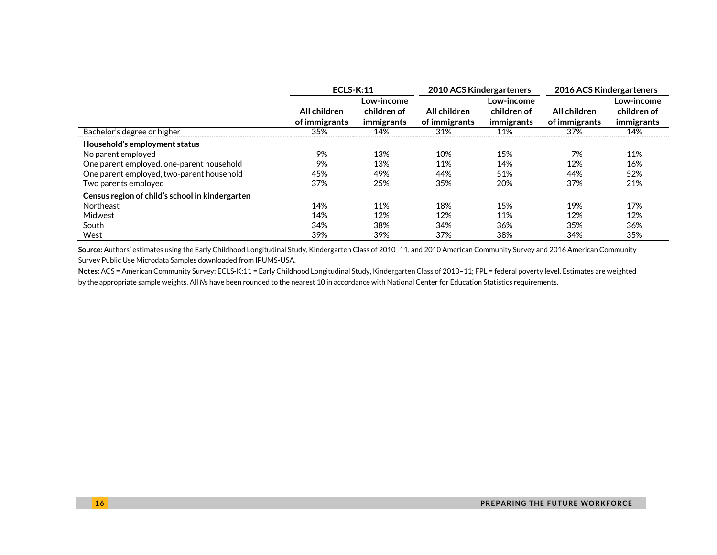|                                                                                                                                                                       | $ECLS-K:11$                   |                                         | 2010 ACS Kindergarteners      |                                         | 2016 ACS Kindergarteners      |                                         |  |
|-----------------------------------------------------------------------------------------------------------------------------------------------------------------------|-------------------------------|-----------------------------------------|-------------------------------|-----------------------------------------|-------------------------------|-----------------------------------------|--|
|                                                                                                                                                                       | All children<br>of immigrants | Low-income<br>children of<br>immigrants | All children<br>of immigrants | Low-income<br>children of<br>immigrants | All children<br>of immigrants | Low-income<br>children of<br>immigrants |  |
| Bachelor's degree or higher                                                                                                                                           | 35%                           | 14%                                     | 31%                           | 11%                                     | 37%                           | 14%                                     |  |
| Household's employment status<br>No parent employed<br>One parent employed, one-parent household<br>One parent employed, two-parent household<br>Two parents employed | 9%<br>9%<br>45%<br>37%        | 13%<br>13%<br>49%<br>25%                | 10%<br>11%<br>44%<br>35%      | 15%<br>14%<br>51%<br>20%                | 7%<br>12%<br>44%<br>37%       | 11%<br>16%<br>52%<br>21%                |  |
| Census region of child's school in kindergarten<br>Northeast<br>Midwest<br>South<br>West                                                                              | 14%<br>14%<br>34%<br>39%      | 11%<br>12%<br>38%<br>39%                | 18%<br>12%<br>34%<br>37%      | 15%<br>11%<br>36%<br>38%                | 19%<br>12%<br>35%<br>34%      | 17%<br>12%<br>36%<br>35%                |  |

**Source:** Authors' estimates using the Early Childhood Longitudinal Study, Kindergarten Class of 2010–11, and 2010 American Community Survey and 2016 American Community Survey Public Use Microdata Samples downloaded from IPUMS-USA.

**Notes:** ACS = American Community Survey; ECLS-K:11 = Early Childhood Longitudinal Study, Kindergarten Class of 2010–11; FPL = federal poverty level. Estimates are weighted by the appropriate sample weights. All *N*s have been rounded to the nearest 10 in accordance with National Center for Education Statistics requirements.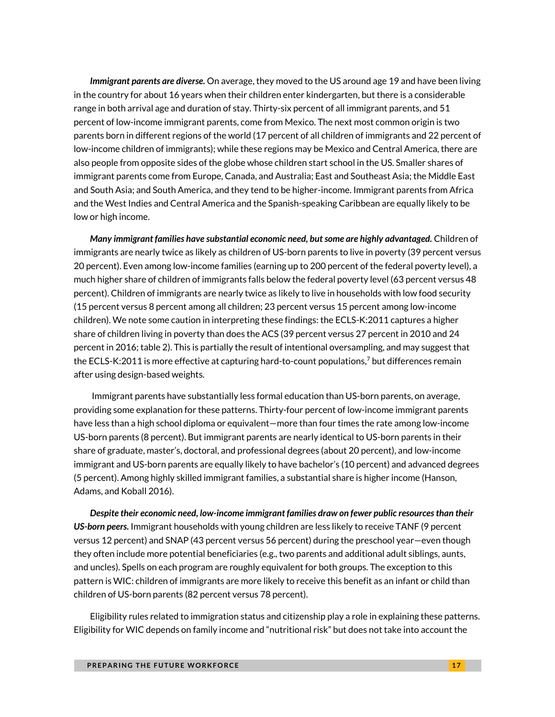*Immigrant parents are diverse.* On average, they moved to the US around age 19 and have been living in the country for about 16 years when their children enter kindergarten, but there is a considerable range in both arrival age and duration of stay. Thirty-six percent of all immigrant parents, and 51 percent of low-income immigrant parents, come from Mexico. The next most common origin is two parents born in different regions of the world (17 percent of all children of immigrants and 22 percent of low-income children of immigrants); while these regions may be Mexico and Central America, there are also people from opposite sides of the globe whose children start school in the US. Smaller shares of immigrant parents come from Europe, Canada, and Australia; East and Southeast Asia; the Middle East and South Asia; and South America, and they tend to be higher-income. Immigrant parents from Africa and the West Indies and Central America and the Spanish-speaking Caribbean are equally likely to be low or high income.

*Many immigrant families have substantial economic need, but some are highly advantaged.* Children of immigrants are nearly twice as likely as children of US-born parents to live in poverty (39 percent versus 20 percent). Even among low-income families (earning up to 200 percent of the federal poverty level), a much higher share of children of immigrants falls below the federal poverty level (63 percent versus 48 percent). Children of immigrants are nearly twice as likely to live in households with low food security (15 percent versus 8 percent among all children; 23 percent versus 15 percent among low-income children). We note some caution in interpreting these findings: the ECLS-K:2011 captures a higher share of children living in poverty than does the ACS (39 percent versus 27 percent in 2010 and 24 percent in 2016; table 2). This is partially the result of intentional oversampling, and may suggest that the ECLS-K:2011 is more effective at capturing hard-to-count populations, <sup>7</sup> but differences remain after using design-based weights.

Immigrant parents have substantially less formal education than US-born parents, on average, providing some explanation for these patterns. Thirty-four percent of low-income immigrant parents have less than a high school diploma or equivalent—more than four times the rate among low-income US-born parents (8 percent). But immigrant parents are nearly identical to US-born parents in their share of graduate, master's, doctoral, and professional degrees (about 20 percent), and low-income immigrant and US-born parents are equally likely to have bachelor's (10 percent) and advanced degrees (5 percent). Among highly skilled immigrant families, a substantial share is higher income (Hanson, Adams, and Koball 2016).

*Despite their economic need, low-income immigrant families draw on fewer public resources than their US-born peers.* Immigrant households with young children are less likely to receive TANF (9 percent versus 12 percent) and SNAP (43 percent versus 56 percent) during the preschool year—even though they often include more potential beneficiaries (e.g., two parents and additional adult siblings, aunts, and uncles). Spells on each program are roughly equivalent for both groups. The exception to this pattern is WIC: children of immigrants are more likely to receive this benefit as an infant or child than children of US-born parents (82 percent versus 78 percent).

Eligibility rules related to immigration status and citizenship play a role in explaining these patterns. Eligibility for WIC depends on family income and "nutritional risk" but does not take into account the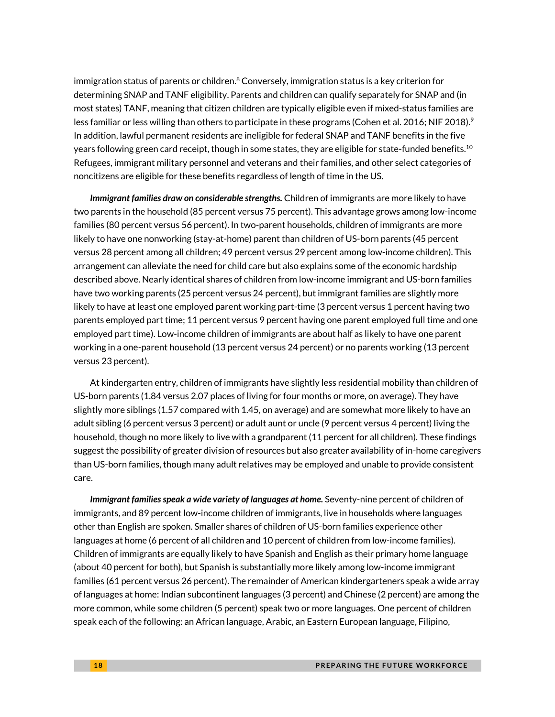immigration status of parents or children.<sup>8</sup> Conversely, immigration status is a key criterion for determining SNAP and TANF eligibility. Parents and children can qualify separately for SNAP and (in most states) TANF, meaning that citizen children are typically eligible even if mixed-status families are less familiar or less willing than others to participate in these programs (Cohen et al. 2016; NIF 2018). $^{\circ}$ In addition, lawful permanent residents are ineligible for federal SNAP and TANF benefits in the five years following green card receipt, though in some states, they are eligible for state-funded benefits.<sup>10</sup> Refugees, immigrant military personnel and veterans and their families, and other select categories of noncitizens are eligible for these benefits regardless of length of time in the US.

*Immigrant families draw on considerable strengths.* Children of immigrants are more likely to have two parents in the household (85 percent versus 75 percent). This advantage grows among low-income families (80 percent versus 56 percent). In two-parent households, children of immigrants are more likely to have one nonworking (stay-at-home) parent than children of US-born parents (45 percent versus 28 percent among all children; 49 percent versus 29 percent among low-income children). This arrangement can alleviate the need for child care but also explains some of the economic hardship described above. Nearly identical shares of children from low-income immigrant and US-born families have two working parents (25 percent versus 24 percent), but immigrant families are slightly more likely to have at least one employed parent working part-time (3 percent versus 1 percent having two parents employed part time; 11 percent versus 9 percent having one parent employed full time and one employed part time). Low-income children of immigrants are about half as likely to have one parent working in a one-parent household (13 percent versus 24 percent) or no parents working (13 percent versus 23 percent).

At kindergarten entry, children of immigrants have slightly less residential mobility than children of US-born parents (1.84 versus 2.07 places of living for four months or more, on average). They have slightly more siblings (1.57 compared with 1.45, on average) and are somewhat more likely to have an adult sibling (6 percent versus 3 percent) or adult aunt or uncle (9 percent versus 4 percent) living the household, though no more likely to live with a grandparent (11 percent for all children). These findings suggest the possibility of greater division of resources but also greater availability of in-home caregivers than US-born families, though many adult relatives may be employed and unable to provide consistent care.

*Immigrant families speak a wide variety of languages at home.* Seventy-nine percent of children of immigrants, and 89 percent low-income children of immigrants, live in households where languages other than English are spoken. Smaller shares of children of US-born families experience other languages at home (6 percent of all children and 10 percent of children from low-income families). Children of immigrants are equally likely to have Spanish and English as their primary home language (about 40 percent for both), but Spanish is substantially more likely among low-income immigrant families (61 percent versus 26 percent). The remainder of American kindergarteners speak a wide array of languages at home: Indian subcontinent languages (3 percent) and Chinese (2 percent) are among the more common, while some children (5 percent) speak two or more languages. One percent of children speak each of the following: an African language, Arabic, an Eastern European language, Filipino,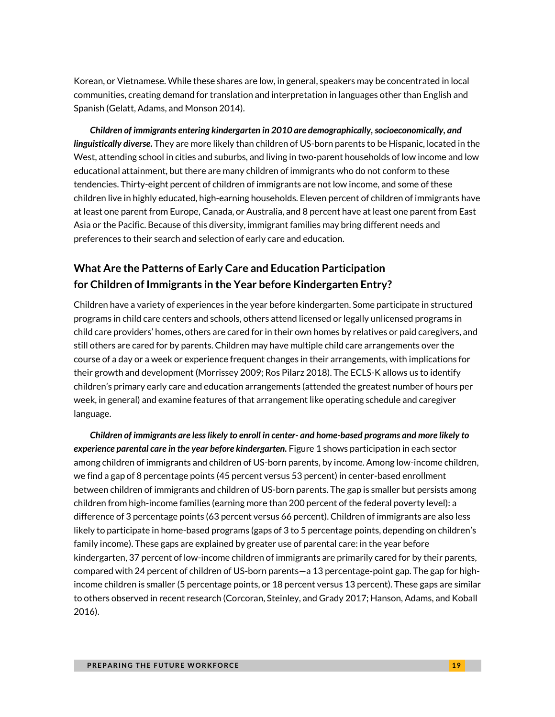Korean, or Vietnamese. While these shares are low, in general, speakers may be concentrated in local communities, creating demand for translation and interpretation in languages other than English and Spanish (Gelatt, Adams, and Monson 2014).

*Children of immigrants entering kindergarten in 2010 are demographically, socioeconomically, and linguistically diverse.* They are more likely than children of US-born parents to be Hispanic, located in the West, attending school in cities and suburbs, and living in two-parent households of low income and low educational attainment, but there are many children of immigrants who do not conform to these tendencies. Thirty-eight percent of children of immigrants are not low income, and some of these children live in highly educated, high-earning households. Eleven percent of children of immigrants have at least one parent from Europe, Canada, or Australia, and 8 percent have at least one parent from East Asia or the Pacific. Because of this diversity, immigrant families may bring different needs and preferences to their search and selection of early care and education.

### **What Are the Patterns of Early Care and Education Participation for Children of Immigrants in the Year before Kindergarten Entry?**

Children have a variety of experiences in the year before kindergarten. Some participate in structured programs in child care centers and schools, others attend licensed or legally unlicensed programs in child care providers' homes, others are cared for in their own homes by relatives or paid caregivers, and still others are cared for by parents. Children may have multiple child care arrangements over the course of a day or a week or experience frequent changes in their arrangements, with implications for their growth and development (Morrissey 2009; Ros Pilarz 2018). The ECLS-K allows us to identify children's primary early care and education arrangements (attended the greatest number of hours per week, in general) and examine features of that arrangement like operating schedule and caregiver language.

*Children of immigrants are less likely to enroll in center- and home-based programs and more likely to experience parental care in the year before kindergarten.* Figure 1 shows participation in each sector among children of immigrants and children of US-born parents, by income. Among low-income children, we find a gap of 8 percentage points (45 percent versus 53 percent) in center-based enrollment between children of immigrants and children of US-born parents. The gap is smaller but persists among children from high-income families (earning more than 200 percent of the federal poverty level): a difference of 3 percentage points (63 percent versus 66 percent). Children of immigrants are also less likely to participate in home-based programs (gaps of 3 to 5 percentage points, depending on children's family income). These gaps are explained by greater use of parental care: in the year before kindergarten, 37 percent of low-income children of immigrants are primarily cared for by their parents, compared with 24 percent of children of US-born parents—a 13 percentage-point gap. The gap for highincome children is smaller (5 percentage points, or 18 percent versus 13 percent). These gaps are similar to others observed in recent research (Corcoran, Steinley, and Grady 2017; Hanson, Adams, and Koball 2016).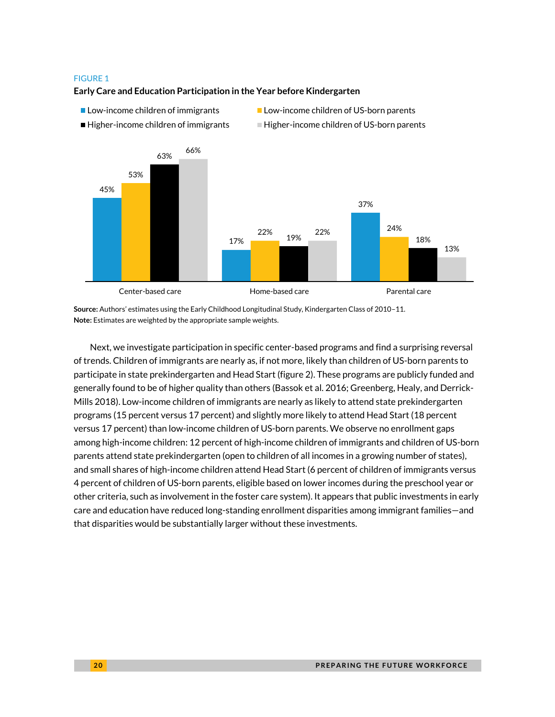#### FIGURE 1

#### **Early Care and Education Participation in the Year before Kindergarten**

- 
- Low-income children of immigrants Low-income children of US-born parents
	-
- $\blacksquare$  Higher-income children of immigrants  $\blacksquare$  Higher-income children of US-born parents



**Source:** Authors' estimates using the Early Childhood Longitudinal Study, Kindergarten Class of 2010–11. **Note:** Estimates are weighted by the appropriate sample weights.

Next, we investigate participation in specific center-based programs and find a surprising reversal of trends. Children of immigrants are nearly as, if not more, likely than children of US-born parents to participate in state prekindergarten and Head Start (figure 2). These programs are publicly funded and generally found to be of higher quality than others (Bassok et al. 2016; Greenberg, Healy, and Derrick-Mills 2018). Low-income children of immigrants are nearly as likely to attend state prekindergarten programs (15 percent versus 17 percent) and slightly more likely to attend Head Start (18 percent versus 17 percent) than low-income children of US-born parents. We observe no enrollment gaps among high-income children: 12 percent of high-income children of immigrants and children of US-born parents attend state prekindergarten (open to children of all incomes in a growing number of states), and small shares of high-income children attend Head Start (6 percent of children of immigrants versus 4 percent of children of US-born parents, eligible based on lower incomes during the preschool year or other criteria, such as involvement in the foster care system). It appears that public investments in early care and education have reduced long-standing enrollment disparities among immigrant families—and that disparities would be substantially larger without these investments.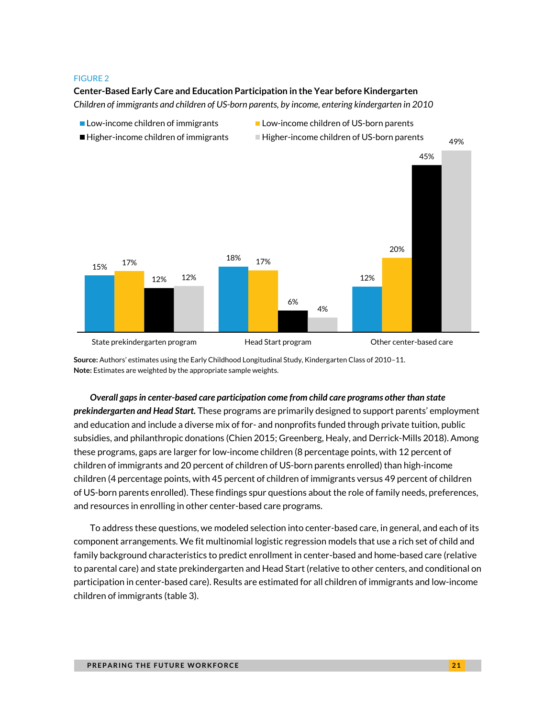#### FIGURE 2

#### **Center-Based Early Care and Education Participation in the Year before Kindergarten**

*Children of immigrants and children of US-born parents, by income, entering kindergarten in 2010*



Low-income children of immigrants Low-income children of US-born parents

*Overall gaps in center-based care participation come from child care programs other than state prekindergarten and Head Start.* These programs are primarily designed to support parents' employment and education and include a diverse mix of for- and nonprofits funded through private tuition, public subsidies, and philanthropic donations (Chien 2015; Greenberg, Healy, and Derrick-Mills 2018). Among these programs, gaps are larger for low-income children (8 percentage points, with 12 percent of children of immigrants and 20 percent of children of US-born parents enrolled) than high-income children (4 percentage points, with 45 percent of children of immigrants versus 49 percent of children of US-born parents enrolled). These findings spur questions about the role of family needs, preferences, and resources in enrolling in other center-based care programs.

To address these questions, we modeled selection into center-based care, in general, and each of its component arrangements. We fit multinomial logistic regression models that use a rich set of child and family background characteristics to predict enrollment in center-based and home-based care (relative to parental care) and state prekindergarten and Head Start (relative to other centers, and conditional on participation in center-based care). Results are estimated for all children of immigrants and low-income children of immigrants (table 3).

**Source:** Authors' estimates using the Early Childhood Longitudinal Study, Kindergarten Class of 2010–11. **Note:** Estimates are weighted by the appropriate sample weights.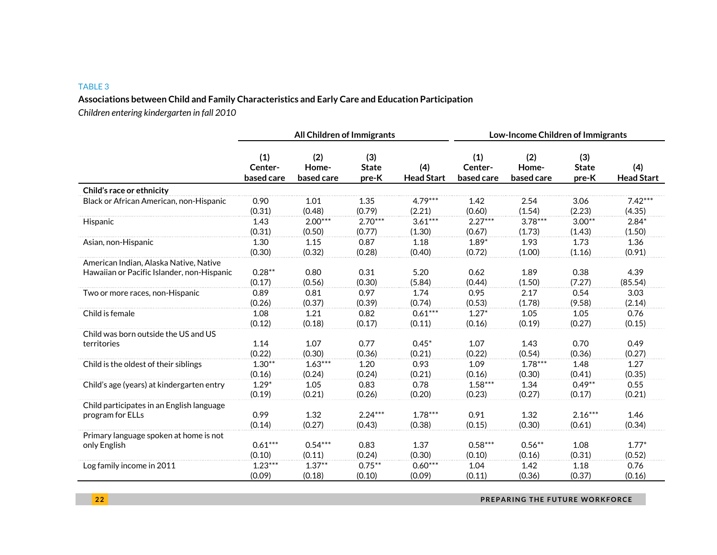#### TABLE 3

#### **Associations between Child and Family Characteristics and Early Care and Education Participation**

*Children entering kindergarten in fall 2010*

|                                            |                              | <b>All Children of Immigrants</b> |                              |                          | Low-Income Children of Immigrants |                            |                              |                          |  |
|--------------------------------------------|------------------------------|-----------------------------------|------------------------------|--------------------------|-----------------------------------|----------------------------|------------------------------|--------------------------|--|
|                                            | (1)<br>Center-<br>based care | (2)<br>Home-<br>based care        | (3)<br><b>State</b><br>pre-K | (4)<br><b>Head Start</b> | (1)<br>Center-<br>based care      | (2)<br>Home-<br>based care | (3)<br><b>State</b><br>pre-K | (4)<br><b>Head Start</b> |  |
| Child's race or ethnicity                  |                              |                                   |                              |                          |                                   |                            |                              |                          |  |
| Black or African American, non-Hispanic    | 0.90                         | 1.01                              | 1.35                         | $4.79***$                | 1.42                              | 2.54                       | 3.06                         | $7.42***$                |  |
|                                            | (0.31)                       | (0.48)                            | (0.79)                       | (2.21)                   | (0.60)                            | (1.54)                     | (2.23)                       | (4.35)                   |  |
| Hispanic                                   | 1.43                         | $2.00***$                         | $2.70***$                    | $3.61***$                | $2.27***$                         | $3.78***$                  | $3.00**$                     | $2.84*$                  |  |
|                                            | (0.31)                       | (0.50)                            | (0.77)                       | (1.30)                   | (0.67)                            | (1.73)                     | (1.43)                       | (1.50)                   |  |
| Asian, non-Hispanic                        | 1.30                         | 1.15                              | 0.87                         | 1.18                     | $1.89*$                           | 1.93                       | 1.73                         | 1.36                     |  |
|                                            | (0.30)                       | (0.32)                            | (0.28)                       | (0.40)                   | (0.72)                            | (1.00)                     | (1.16)                       | (0.91)                   |  |
| American Indian, Alaska Native, Native     | $0.28**$                     | 0.80                              | 0.31                         | 5.20                     | 0.62                              | 1.89                       | 0.38                         | 4.39                     |  |
| Hawaiian or Pacific Islander, non-Hispanic | (0.17)                       | (0.56)                            | (0.30)                       | (5.84)                   | (0.44)                            | (1.50)                     | (7.27)                       | (85.54)                  |  |
| Two or more races, non-Hispanic            | 0.89                         | 0.81                              | 0.97                         | 1.74                     | 0.95                              | 2.17                       | 0.54                         | 3.03                     |  |
|                                            | (0.26)                       | (0.37)                            | (0.39)                       | (0.74)                   | (0.53)                            | (1.78)                     | (9.58)                       | (2.14)                   |  |
| Child is female                            | 1.08                         | 1.21                              | 0.82                         | $0.61***$                | $1.27*$                           | 1.05                       | 1.05                         | 0.76                     |  |
|                                            | (0.12)                       | (0.18)                            | (0.17)                       | (0.11)                   | (0.16)                            | (0.19)                     | (0.27)                       | (0.15)                   |  |
| Child was born outside the US and US       | 1.14                         | 1.07                              | 0.77                         | $0.45*$                  | 1.07                              | 1.43                       | 0.70                         | 0.49                     |  |
| territories                                | (0.22)                       | (0.30)                            | (0.36)                       | (0.21)                   | (0.22)                            | (0.54)                     | (0.36)                       | (0.27)                   |  |
| Child is the oldest of their siblings      | $1.30**$                     | $1.63***$                         | 1.20                         | 0.93                     | 1.09                              | $1.78***$                  | 1.48                         | 1.27                     |  |
|                                            | (0.16)                       | (0.24)                            | (0.24)                       | (0.21)                   | (0.16)                            | (0.30)                     | (0.41)                       | (0.35)                   |  |
| Child's age (years) at kindergarten entry  | $1.29*$                      | 1.05                              | 0.83                         | 0.78                     | $1.58***$                         | 1.34                       | $0.49**$                     | 0.55                     |  |
|                                            | (0.19)                       | (0.21)                            | (0.26)                       | (0.20)                   | (0.23)                            | (0.27)                     | (0.17)                       | (0.21)                   |  |
| Child participates in an English language  | 0.99                         | 1.32                              | $2.24***$                    | $1.78***$                | 0.91                              | 1.32                       | $2.16***$                    | 1.46                     |  |
| program for ELLs                           | (0.14)                       | (0.27)                            | (0.43)                       | (0.38)                   | (0.15)                            | (0.30)                     | (0.61)                       | (0.34)                   |  |
| Primary language spoken at home is not     | $0.61***$                    | $0.54***$                         | 0.83                         | 1.37                     | $0.58***$                         | $0.56**$                   | 1.08                         | $1.77*$                  |  |
| only English                               | (0.10)                       | (0.11)                            | (0.24)                       | (0.30)                   | (0.10)                            | (0.16)                     | (0.31)                       | (0.52)                   |  |
| Log family income in 2011                  | $1.23***$                    | $1.37**$                          | $0.75***$                    | $0.60***$                | 1.04                              | 1.42                       | 1.18                         | 0.76                     |  |
|                                            | (0.09)                       | (0.18)                            | (0.10)                       | (0.09)                   | (0.11)                            | (0.36)                     | (0.37)                       | (0.16)                   |  |

**22 PREPARING THE FUTURE WORKFORCE**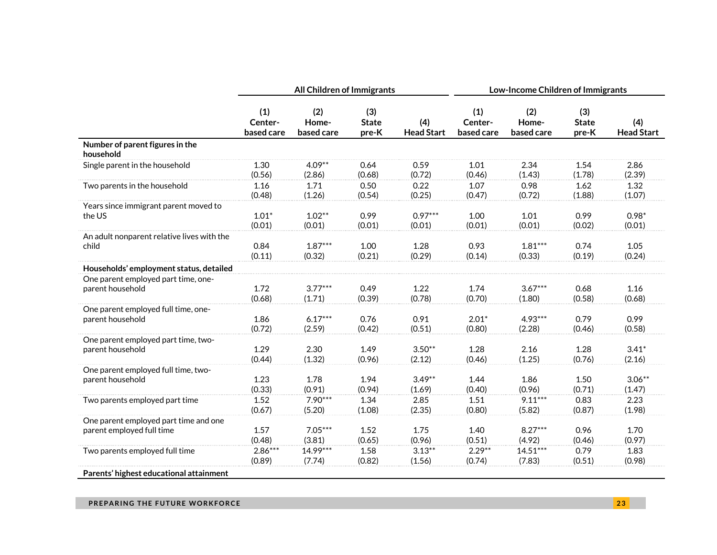|                                              |                              | All Children of Immigrants |                              |                          | Low-Income Children of Immigrants |                            |                              |                          |  |  |
|----------------------------------------------|------------------------------|----------------------------|------------------------------|--------------------------|-----------------------------------|----------------------------|------------------------------|--------------------------|--|--|
|                                              | (1)<br>Center-<br>based care | (2)<br>Home-<br>based care | (3)<br><b>State</b><br>pre-K | (4)<br><b>Head Start</b> | (1)<br>Center-<br>based care      | (2)<br>Home-<br>based care | (3)<br><b>State</b><br>pre-K | (4)<br><b>Head Start</b> |  |  |
| Number of parent figures in the<br>household |                              |                            |                              |                          |                                   |                            |                              |                          |  |  |
| Single parent in the household               | 1.30                         | $4.09**$                   | 0.64                         | 0.59                     | 1.01                              | 2.34                       | 1.54                         | 2.86                     |  |  |
|                                              | (0.56)                       | (2.86)                     | (0.68)                       | (0.72)                   | (0.46)                            | (1.43)                     | (1.78)                       | (2.39)                   |  |  |
| Two parents in the household                 | 1.16                         | 1.71                       | 0.50                         | 0.22                     | 1.07                              | 0.98                       | 1.62                         | 1.32                     |  |  |
|                                              | (0.48)                       | (1.26)                     | (0.54)                       | (0.25)                   | (0.47)                            | (0.72)                     | (1.88)                       | (1.07)                   |  |  |
| Years since immigrant parent moved to        | $1.01*$                      | $1.02**$                   | 0.99                         | $0.97***$                | 1.00                              | 1.01                       | 0.99                         | $0.98*$                  |  |  |
| the US                                       | (0.01)                       | (0.01)                     | (0.01)                       | (0.01)                   | (0.01)                            | (0.01)                     | (0.02)                       | (0.01)                   |  |  |
| An adult nonparent relative lives with the   | 0.84                         | $1.87***$                  | 1.00                         | 1.28                     | 0.93                              | $1.81***$                  | 0.74                         | 1.05                     |  |  |
| child                                        | (0.11)                       | (0.32)                     | (0.21)                       | (0.29)                   | (0.14)                            | (0.33)                     | (0.19)                       | (0.24)                   |  |  |
| Households' employment status, detailed      |                              |                            |                              |                          |                                   |                            |                              |                          |  |  |
| One parent employed part time, one-          | 1.72                         | $3.77***$                  | 0.49                         | 1.22                     | 1.74                              | $3.67***$                  | 0.68                         | 1.16                     |  |  |
| parent household                             | (0.68)                       | (1.71)                     | (0.39)                       | (0.78)                   | (0.70)                            | (1.80)                     | (0.58)                       | (0.68)                   |  |  |
| One parent employed full time, one-          | 1.86                         | $6.17***$                  | 0.76                         | 0.91                     | $2.01*$                           | $4.93***$                  | 0.79                         | 0.99                     |  |  |
| parent household                             | (0.72)                       | (2.59)                     | (0.42)                       | (0.51)                   | (0.80)                            | (2.28)                     | (0.46)                       | (0.58)                   |  |  |
| One parent employed part time, two-          | 1.29                         | 2.30                       | 1.49                         | $3.50**$                 | 1.28                              | 2.16                       | 1.28                         | $3.41*$                  |  |  |
| parent household                             | (0.44)                       | (1.32)                     | (0.96)                       | (2.12)                   | (0.46)                            | (1.25)                     | (0.76)                       | (2.16)                   |  |  |
| One parent employed full time, two-          | 1.23                         | 1.78                       | 1.94                         | $3.49**$                 | 1.44                              | 1.86                       | 1.50                         | $3.06***$                |  |  |
| parent household                             | (0.33)                       | (0.91)                     | (0.94)                       | (1.69)                   | (0.40)                            | (0.96)                     | (0.71)                       | (1.47)                   |  |  |
| Two parents employed part time               | 1.52                         | $7.90***$                  | 1.34                         | 2.85                     | 1.51                              | $9.11***$                  | 0.83                         | 2.23                     |  |  |
|                                              | (0.67)                       | (5.20)                     | (1.08)                       | (2.35)                   | (0.80)                            | (5.82)                     | (0.87)                       | (1.98)                   |  |  |
| One parent employed part time and one        | 1.57                         | $7.05***$                  | 1.52                         | 1.75                     | 1.40                              | $8.27***$                  | 0.96                         | 1.70                     |  |  |
| parent employed full time                    | (0.48)                       | (3.81)                     | (0.65)                       | (0.96)                   | (0.51)                            | (4.92)                     | (0.46)                       | (0.97)                   |  |  |
| Two parents employed full time               | $2.86***$                    | 14.99***                   | 1.58                         | $3.13**$                 | $2.29**$                          | $14.51***$                 | 0.79                         | 1.83                     |  |  |
|                                              | (0.89)                       | (7.74)                     | (0.82)                       | (1.56)                   | (0.74)                            | (7.83)                     | (0.51)                       | (0.98)                   |  |  |
| Parents' highest educational attainment      |                              |                            |                              |                          |                                   |                            |                              |                          |  |  |

#### **PREPARING THE FUTURE WORKFORCE Example 23**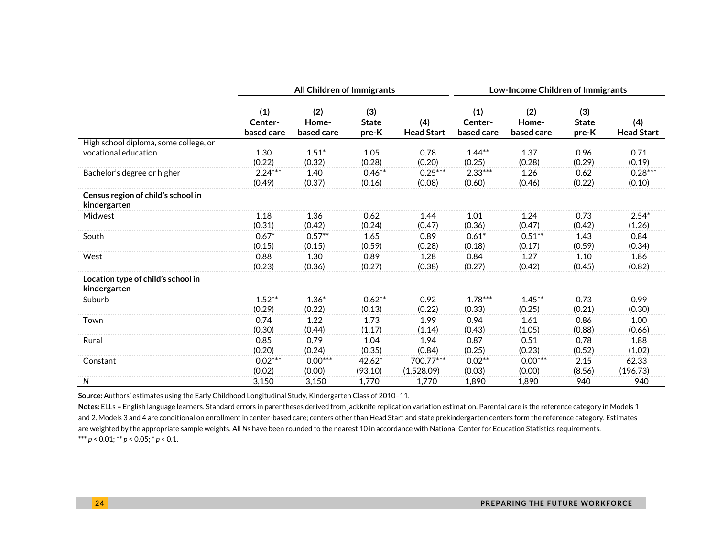|                                                    |                              | All Children of Immigrants |                              |                          | Low-Income Children of Immigrants |                            |                              |                          |  |
|----------------------------------------------------|------------------------------|----------------------------|------------------------------|--------------------------|-----------------------------------|----------------------------|------------------------------|--------------------------|--|
|                                                    | (1)<br>Center-<br>based care | (2)<br>Home-<br>based care | (3)<br><b>State</b><br>pre-K | (4)<br><b>Head Start</b> | (1)<br>Center-<br>based care      | (2)<br>Home-<br>based care | (3)<br><b>State</b><br>pre-K | (4)<br><b>Head Start</b> |  |
| High school diploma, some college, or              |                              |                            |                              |                          |                                   |                            |                              |                          |  |
| vocational education                               | 1.30<br>(0.22)               | $1.51*$<br>(0.32)          | 1.05<br>(0.28)               | 0.78<br>(0.20)           | $1.44**$<br>(0.25)                | 1.37<br>(0.28)             | 0.96<br>(0.29)               | 0.71<br>(0.19)           |  |
| Bachelor's degree or higher                        | $2.24***$<br>(0.49)          | 1.40<br>(0.37)             | $0.46**$<br>(0.16)           | $0.25***$<br>(0.08)      | $2.33***$<br>(0.60)               | 1.26<br>(0.46)             | 0.62<br>(0.22)               | $0.28***$<br>(0.10)      |  |
| Census region of child's school in<br>kindergarten |                              |                            |                              |                          |                                   |                            |                              |                          |  |
| Midwest                                            | 1.18                         | 1.36                       | 0.62                         | 1.44                     | 1.01                              | 1.24                       | 0.73                         | $2.54*$                  |  |
|                                                    | (0.31)                       | (0.42)                     | (0.24)                       | (0.47)                   | (0.36)                            | (0.47)                     | (0.42)                       | (1.26)                   |  |
| South                                              | $0.67*$                      | $0.57**$                   | 1.65                         | 0.89                     | $0.61*$                           | $0.51***$                  | 1.43                         | 0.84                     |  |
|                                                    | (0.15)                       | (0.15)                     | (0.59)                       | (0.28)                   | (0.18)                            | (0.17)                     | (0.59)                       | (0.34)                   |  |
| West                                               | 0.88<br>(0.23)               | 1.30<br>(0.36)             | 0.89<br>(0.27)               | 1.28<br>(0.38)           | 0.84<br>(0.27)                    | 1.27<br>(0.42)             | 1.10<br>(0.45)               | 1.86<br>(0.82)           |  |
| Location type of child's school in<br>kindergarten |                              |                            |                              |                          |                                   |                            |                              |                          |  |
| Suburb                                             | $1.52**$<br>(0.29)           | $1.36*$<br>(0.22)          | $0.62**$<br>(0.13)           | 0.92<br>(0.22)           | $1.78***$<br>(0.33)               | $1.45***$<br>(0.25)        | 0.73<br>(0.21)               | 0.99<br>(0.30)           |  |
| Town                                               | 0.74<br>(0.30)               | 1.22<br>(0.44)             | 1.73<br>(1.17)               | 1.99<br>(1.14)           | 0.94<br>(0.43)                    | 1.61<br>(1.05)             | 0.86<br>(0.88)               | 1.00<br>(0.66)           |  |
| Rural                                              | 0.85<br>(0.20)               | 0.79<br>(0.24)             | 1.04<br>(0.35)               | 1.94<br>(0.84)           | 0.87<br>(0.25)                    | 0.51<br>(0.23)             | 0.78<br>(0.52)               | 1.88<br>(1.02)           |  |
| Constant                                           | $0.02***$<br>(0.02)          | $0.00***$<br>(0.00)        | $42.62*$<br>(93.10)          | 700.77***<br>(1,528.09)  | $0.02**$<br>(0.03)                | $0.00***$<br>(0.00)        | 2.15<br>(8.56)               | 62.33<br>(196.73)        |  |
| N                                                  | 3,150                        | 3,150                      | 1,770                        | 1,770                    | 1.890                             | 1.890                      | 940                          | 940                      |  |

**Source:** Authors' estimates using the Early Childhood Longitudinal Study, Kindergarten Class of 2010–11.

**Notes:** ELLs = English language learners. Standard errors in parentheses derived from jackknife replication variation estimation. Parental care is the reference category in Models 1 and 2. Models 3 and 4 are conditional on enrollment in center-based care; centers other than Head Start and state prekindergarten centers form the reference category. Estimates are weighted by the appropriate sample weights. All *N*s have been rounded to the nearest 10 in accordance with National Center for Education Statistics requirements. \*\*\* *p* < 0.01; \*\* *p* < 0.05; \* *p* < 0.1.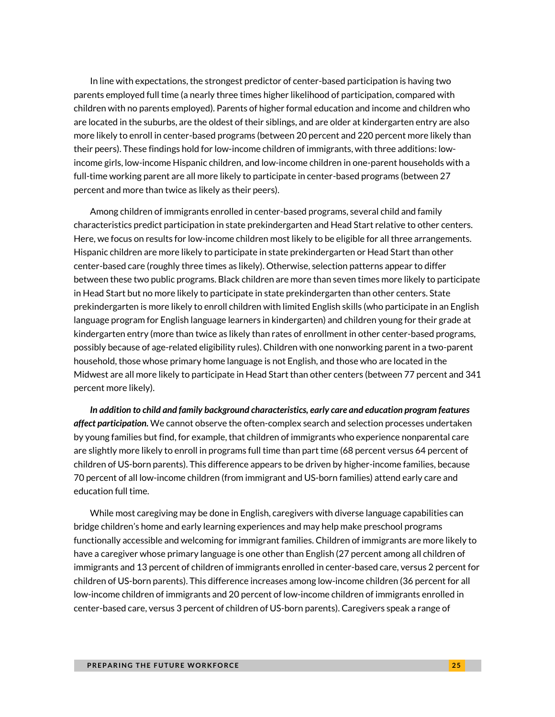In line with expectations, the strongest predictor of center-based participation is having two parents employed full time (a nearly three times higher likelihood of participation, compared with children with no parents employed). Parents of higher formal education and income and children who are located in the suburbs, are the oldest of their siblings, and are older at kindergarten entry are also more likely to enroll in center-based programs (between 20 percent and 220 percent more likely than their peers). These findings hold for low-income children of immigrants, with three additions: lowincome girls, low-income Hispanic children, and low-income children in one-parent households with a full-time working parent are all more likely to participate in center-based programs (between 27 percent and more than twice as likely as their peers).

Among children of immigrants enrolled in center-based programs, several child and family characteristics predict participation in state prekindergarten and Head Start relative to other centers. Here, we focus on results for low-income children most likely to be eligible for all three arrangements. Hispanic children are more likely to participate in state prekindergarten or Head Start than other center-based care (roughly three times as likely). Otherwise, selection patterns appear to differ between these two public programs. Black children are more than seven times more likely to participate in Head Start but no more likely to participate in state prekindergarten than other centers. State prekindergarten is more likely to enroll children with limited English skills (who participate in an English language program for English language learners in kindergarten) and children young for their grade at kindergarten entry (more than twice as likely than rates of enrollment in other center-based programs, possibly because of age-related eligibility rules). Children with one nonworking parent in a two-parent household, those whose primary home language is not English, and those who are located in the Midwest are all more likely to participate in Head Start than other centers (between 77 percent and 341 percent more likely).

*In addition to child and family background characteristics, early care and education program features affect participation.* We cannot observe the often-complex search and selection processes undertaken by young families but find, for example, that children of immigrants who experience nonparental care are slightly more likely to enroll in programs full time than part time (68 percent versus 64 percent of children of US-born parents). This difference appears to be driven by higher-income families, because 70 percent of all low-income children (from immigrant and US-born families) attend early care and education full time.

While most caregiving may be done in English, caregivers with diverse language capabilities can bridge children's home and early learning experiences and may help make preschool programs functionally accessible and welcoming for immigrant families. Children of immigrants are more likely to have a caregiver whose primary language is one other than English (27 percent among all children of immigrants and 13 percent of children of immigrants enrolled in center-based care, versus 2 percent for children of US-born parents). This difference increases among low-income children (36 percent for all low-income children of immigrants and 20 percent of low-income children of immigrants enrolled in center-based care, versus 3 percent of children of US-born parents). Caregivers speak a range of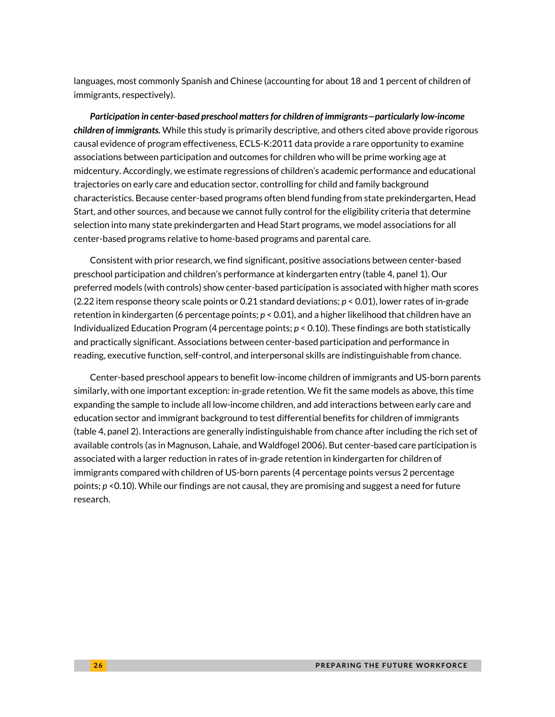languages, most commonly Spanish and Chinese (accounting for about 18 and 1 percent of children of immigrants, respectively).

*Participation in center-based preschool matters for children of immigrants—particularly low-income children of immigrants.* While this study is primarily descriptive, and others cited above provide rigorous causal evidence of program effectiveness, ECLS-K:2011 data provide a rare opportunity to examine associations between participation and outcomes for children who will be prime working age at midcentury. Accordingly, we estimate regressions of children's academic performance and educational trajectories on early care and education sector, controlling for child and family background characteristics. Because center-based programs often blend funding from state prekindergarten, Head Start, and other sources, and because we cannot fully control for the eligibility criteria that determine selection into many state prekindergarten and Head Start programs, we model associations for all center-based programs relative to home-based programs and parental care.

Consistent with prior research, we find significant, positive associations between center-based preschool participation and children's performance at kindergarten entry (table 4, panel 1). Our preferred models (with controls) show center-based participation is associated with higher math scores (2.22 item response theory scale points or 0.21 standard deviations; *p* < 0.01), lower rates of in-grade retention in kindergarten (6 percentage points; *p* < 0.01), and a higher likelihood that children have an Individualized Education Program (4 percentage points; *p* < 0.10). These findings are both statistically and practically significant. Associations between center-based participation and performance in reading, executive function, self-control, and interpersonal skills are indistinguishable from chance.

Center-based preschool appears to benefit low-income children of immigrants and US-born parents similarly, with one important exception: in-grade retention. We fit the same models as above, this time expanding the sample to include all low-income children, and add interactions between early care and education sector and immigrant background to test differential benefits for children of immigrants (table 4, panel 2). Interactions are generally indistinguishable from chance after including the rich set of available controls (as in Magnuson, Lahaie, and Waldfogel 2006). But center-based care participation is associated with a larger reduction in rates of in-grade retention in kindergarten for children of immigrants compared with children of US-born parents (4 percentage points versus 2 percentage points; *p* <0.10). While our findings are not causal, they are promising and suggest a need for future research.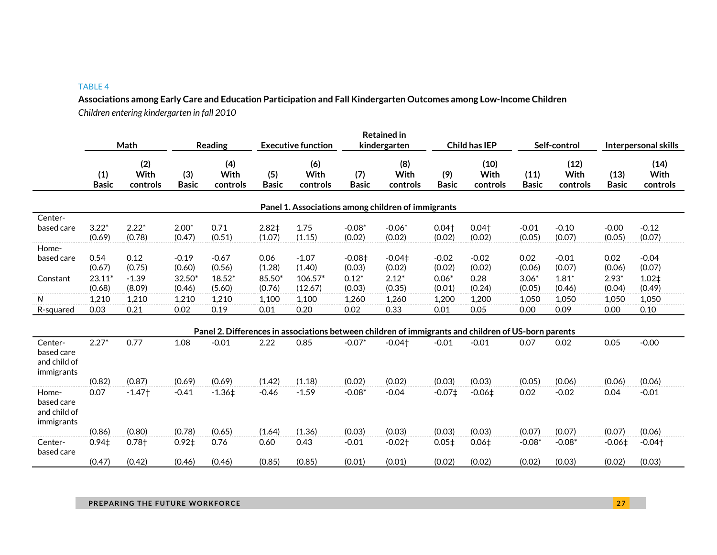#### TABLE 4

**Associations among Early Care and Education Participation and Fall Kindergarten Outcomes among Low-Income Children** *Children entering kindergarten in fall 2010*

|                                                     | Math                |                         |                     | <b>Reading</b>          |                     | <b>Executive function</b> |                     | <b>Retained in</b><br>kindergarten                                                                  | <b>Child has IEP</b> |                          | Self-control         |                          | Interpersonal skills |                          |
|-----------------------------------------------------|---------------------|-------------------------|---------------------|-------------------------|---------------------|---------------------------|---------------------|-----------------------------------------------------------------------------------------------------|----------------------|--------------------------|----------------------|--------------------------|----------------------|--------------------------|
|                                                     | (1)<br><b>Basic</b> | (2)<br>With<br>controls | (3)<br><b>Basic</b> | (4)<br>With<br>controls | (5)<br><b>Basic</b> | (6)<br>With<br>controls   | (7)<br><b>Basic</b> | (8)<br>With<br>controls                                                                             | (9)<br><b>Basic</b>  | (10)<br>With<br>controls | (11)<br><b>Basic</b> | (12)<br>With<br>controls | (13)<br><b>Basic</b> | (14)<br>With<br>controls |
|                                                     |                     |                         |                     |                         |                     |                           |                     | Panel 1. Associations among children of immigrants                                                  |                      |                          |                      |                          |                      |                          |
| Center-                                             |                     |                         |                     |                         |                     |                           |                     |                                                                                                     |                      |                          |                      |                          |                      |                          |
| based care                                          | $3.22*$<br>(0.69)   | $2.22*$<br>(0.78)       | $2.00*$<br>(0.47)   | 0.71<br>(0.51)          | $2.82+$<br>(1.07)   | 1.75<br>(1.15)            | $-0.08*$<br>(0.02)  | $-0.06*$<br>(0.02)                                                                                  | $0.04+$<br>(0.02)    | $0.04+$<br>(0.02)        | $-0.01$<br>(0.05)    | $-0.10$<br>(0.07)        | $-0.00$<br>(0.05)    | $-0.12$<br>(0.07)        |
| Home-                                               |                     |                         |                     |                         |                     |                           |                     |                                                                                                     |                      |                          |                      |                          |                      |                          |
| based care                                          | 0.54<br>(0.67)      | 0.12<br>(0.75)          | $-0.19$<br>(0.60)   | $-0.67$<br>(0.56)       | 0.06<br>(1.28)      | $-1.07$<br>(1.40)         | $-0.08+$<br>(0.03)  | $-0.04\pm$<br>(0.02)                                                                                | $-0.02$<br>(0.02)    | $-0.02$<br>(0.02)        | 0.02<br>(0.06)       | $-0.01$<br>(0.07)        | 0.02<br>(0.06)       | $-0.04$<br>(0.07)        |
| Constant                                            | $23.11*$<br>(0.68)  | $-1.39$<br>(8.09)       | 32.50<br>(0.46)     | $18.52*$<br>(5.60)      | 85.50<br>(0.76)     | $106.57*$<br>(12.67)      | $0.12*$<br>(0.03)   | $2.12*$<br>(0.35)                                                                                   | $0.06*$<br>(0.01)    | 0.28<br>(0.24)           | $3.06*$<br>(0.05)    | $1.81*$<br>(0.46)        | $2.93*$<br>(0.04)    | $1.02+$<br>(0.49)        |
| N                                                   | 1,210               | 1,210                   | 1,210               | 1,210                   | 1,100               | 1,100                     | 1,260               | 1,260                                                                                               | 1,200                | 1,200                    | 1,050                | 1,050                    | 1,050                | 1,050                    |
| R-squared                                           | 0.03                | 0.21                    | 0.02                | 0.19                    | 0.01                | 0.20                      | 0.02                | 0.33                                                                                                | 0.01                 | 0.05                     | 0.00                 | 0.09                     | 0.00                 | 0.10                     |
|                                                     |                     |                         |                     |                         |                     |                           |                     | Panel 2. Differences in associations between children of immigrants and children of US-born parents |                      |                          |                      |                          |                      |                          |
| Center-<br>based care<br>and child of<br>immigrants | $2.27*$             | 0.77                    | 1.08                | $-0.01$                 | 2.22                | 0.85                      | $-0.07*$            | $-0.04$ <sup>+</sup>                                                                                | $-0.01$              | $-0.01$                  | 0.07                 | 0.02                     | 0.05                 | $-0.00$                  |
|                                                     | (0.82)              | (0.87)                  | (0.69)              | (0.69)                  | (1.42)              | (1.18)                    | (0.02)              | (0.02)                                                                                              | (0.03)               | (0.03)                   | (0.05)               | (0.06)                   | (0.06)               | (0.06)                   |
| Home-<br>based care<br>and child of<br>immigrants   | 0.07                | $-1.47$                 | $-0.41$             | $-1.36‡$                | $-0.46$             | $-1.59$                   | $-0.08*$            | $-0.04$                                                                                             | $-0.07‡$             | $-0.06 \pm 1$            | 0.02                 | $-0.02$                  | 0.04                 | $-0.01$                  |
|                                                     | (0.86)              | (0.80)                  | (0.78)              | (0.65)                  | (1.64)              | (1.36)                    | (0.03)              | (0.03)                                                                                              | (0.03)               | (0.03)                   | (0.07)               | (0.07)                   | (0.07)               | (0.06)                   |
| Center-<br>based care                               | 0.94 <sub>‡</sub>   | $0.78+$                 | $0.92+$             | 0.76                    | 0.60                | 0.43                      | $-0.01$             | $-0.02$ <sup>+</sup>                                                                                | 0.05 <sup>‡</sup>    | $0.06 \ddagger$          | $-0.08*$             | $-0.08*$                 | $-0.06\pm$           | $-0.04$ <sup>+</sup>     |
|                                                     | (0.47)              | (0.42)                  | (0.46)              | (0.46)                  | (0.85)              | (0.85)                    | (0.01)              | (0.01)                                                                                              | (0.02)               | (0.02)                   | (0.02)               | (0.03)                   | (0.02)               | (0.03)                   |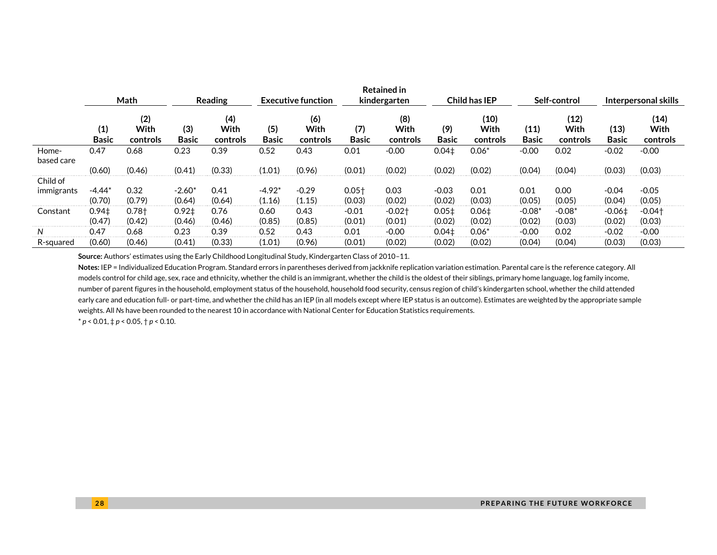|                        |                             |                         |                     |                         |                           |                         |                     | <b>Retained in</b>      |                             |                          |                      |                          |                       |                                |
|------------------------|-----------------------------|-------------------------|---------------------|-------------------------|---------------------------|-------------------------|---------------------|-------------------------|-----------------------------|--------------------------|----------------------|--------------------------|-----------------------|--------------------------------|
|                        |                             | Math                    |                     | <b>Reading</b>          | <b>Executive function</b> |                         | kindergarten        |                         |                             | <b>Child has IEP</b>     | Self-control         |                          |                       | Interpersonal skills           |
|                        | (1)<br><b>Basic</b>         | (2)<br>With<br>controls | (3)<br><b>Basic</b> | (4)<br>With<br>controls | (5)<br><b>Basic</b>       | (6)<br>With<br>controls | (7)<br><b>Basic</b> | (8)<br>With<br>controls | (9)<br><b>Basic</b>         | (10)<br>With<br>controls | (11)<br><b>Basic</b> | (12)<br>With<br>controls | (13)<br><b>Basic</b>  | (14)<br>With<br>controls       |
| Home-<br>based care    | 0.47                        | 0.68                    | 0.23                | 0.39                    | 0.52                      | 0.43                    | 0.01                | $-0.00$                 | 0.04 <sup>‡</sup>           | $0.06*$                  | $-0.00$              | 0.02                     | $-0.02$               | $-0.00$                        |
|                        | (0.60)                      | (0.46)                  | (0.41)              | (0.33)                  | (1.01)                    | (0.96)                  | (0.01)              | (0.02)                  | (0.02)                      | (0.02)                   | (0.04)               | (0.04)                   | (0.03)                | (0.03)                         |
| Child of<br>immigrants | $-4.44*$                    | 0.32                    | $-2.60*$            | 0.41                    | $-4.92*$                  | $-0.29$                 | $0.05+$             | 0.03                    | $-0.03$                     | 0.01                     | 0.01                 | 0.00                     | $-0.04$               | $-0.05$                        |
|                        | (0.70)                      | (0.79)                  | (0.64)              | (0.64)                  | (1.16)                    | (1.15)                  | (0.03)              | (0.02)                  | (0.02)                      | (0.03)                   | (0.05)               | (0.05)                   | (0.04)                | (0.05)                         |
| Constant               | 0.94 <sub>‡</sub><br>(0.47) | $0.78+$<br>(0.42)       | $0.92+$<br>(0.46)   | 0.76<br>(0.46)          | 0.60<br>(0.85)            | 0.43<br>(0.85)          | $-0.01$<br>(0.01)   | $-0.02+$<br>(0.01)      | 0.05 <sup>‡</sup><br>(0.02) | $0.06 \pm$<br>(0.02)     | $-0.08*$<br>(0.02)   | $-0.08*$<br>(0.03)       | $-0.06 \pm$<br>(0.02) | $-0.04$ <sup>+</sup><br>(0.03) |
|                        | 0.47                        | 0.68                    | 0.23                | 0.39                    | 0.52                      | 0.43                    | 0.01                | $-0.00$                 | 0.04 <sub>‡</sub>           | $0.06*$                  | $-0.00$              | 0.02                     | $-0.02$               | $-0.00$                        |
| R-squared              | (0.60)                      | (0.46)                  | (0.41)              | (0.33)                  | (1.01)                    | (0.96)                  | (0.01)              | (0.02)                  | (0.02)                      | (0.02)                   | (0.04)               | (0.04)                   | (0.03)                | (0.03)                         |

**Source:** Authors' estimates using the Early Childhood Longitudinal Study, Kindergarten Class of 2010–11.

**Notes:** IEP = Individualized Education Program. Standard errors in parentheses derived from jackknife replication variation estimation. Parental care is the reference category. All models control for child age, sex, race and ethnicity, whether the child is an immigrant, whether the child is the oldest of their siblings, primary home language, log family income, number of parent figures in the household, employment status of the household, household food security, census region of child's kindergarten school, whether the child attended early care and education full- or part-time, and whether the child has an IEP (in all models except where IEP status is an outcome). Estimates are weighted by the appropriate sample weights. All *N*s have been rounded to the nearest 10 in accordance with National Center for Education Statistics requirements.

 $* p < 0.01, \frac{1}{7} p < 0.05, \frac{1}{7} p < 0.10.$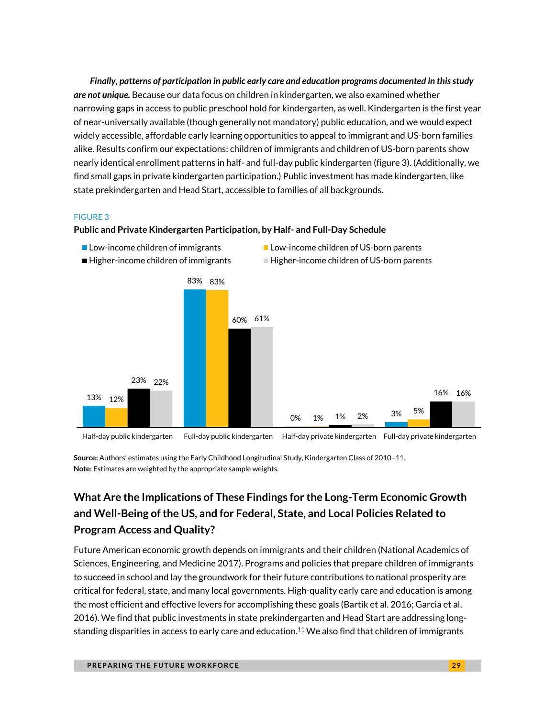*Finally, patterns of participation in public early care and education programs documented in this study are not unique.* Because our data focus on children in kindergarten, we also examined whether narrowing gaps in access to public preschool hold for kindergarten, as well. Kindergarten is the first year of near-universally available (though generally not mandatory) public education, and we would expect widely accessible, affordable early learning opportunities to appeal to immigrant and US-born families alike. Results confirm our expectations: children of immigrants and children of US-born parents show nearly identical enrollment patterns in half- and full-day public kindergarten (figure 3). (Additionally, we find small gaps in private kindergarten participation.) Public investment has made kindergarten, like state prekindergarten and Head Start, accessible to families of all backgrounds.

#### FIGURE 3

#### **Public and Private Kindergarten Participation, by Half- and Full-Day Schedule**



 $\blacksquare$  Higher-income children of immigrants  $\blacksquare$  Higher-income children of US-born parents

**Low-income children of immigrants** Low-income children of US-born parents

**Source:** Authors' estimates using the Early Childhood Longitudinal Study, Kindergarten Class of 2010–11.

**Note:** Estimates are weighted by the appropriate sample weights.

### **What Are the Implications of These Findings for the Long-Term Economic Growth and Well-Being of the US, and for Federal, State, and Local Policies Related to Program Access and Quality?**

Future American economic growth depends on immigrants and their children (National Academics of Sciences, Engineering, and Medicine 2017). Programs and policies that prepare children of immigrants to succeed in school and lay the groundwork for their future contributions to national prosperity are critical for federal, state, and many local governments. High-quality early care and education is among the most efficient and effective levers for accomplishing these goals (Bartik et al. 2016; Garcia et al. 2016). We find that public investments in state prekindergarten and Head Start are addressing longstanding disparities in access to early care and education.<sup>11</sup> We also find that children of immigrants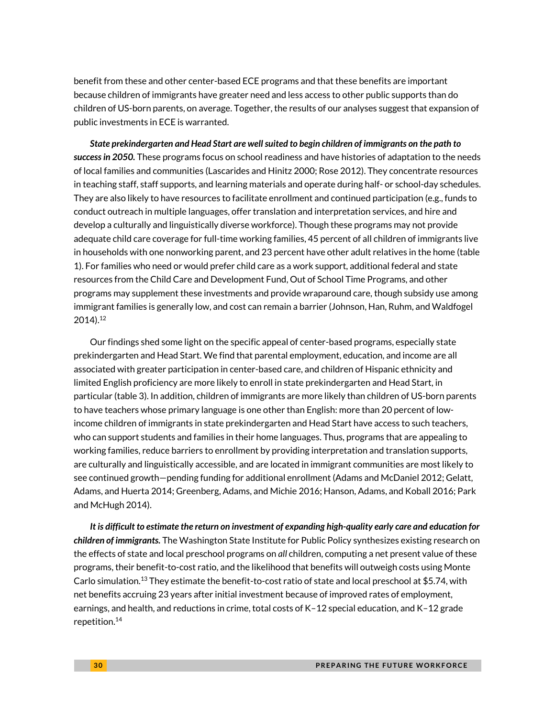benefit from these and other center-based ECE programs and that these benefits are important because children of immigrants have greater need and less access to other public supports than do children of US-born parents, on average. Together, the results of our analyses suggest that expansion of public investments in ECE is warranted.

*State prekindergarten and Head Start are wellsuited to begin children of immigrants on the path to success in 2050.* These programs focus on school readiness and have histories of adaptation to the needs of local families and communities (Lascarides and Hinitz 2000; Rose 2012). They concentrate resources in teaching staff, staff supports, and learning materials and operate during half- or school-day schedules. They are also likely to have resources to facilitate enrollment and continued participation (e.g., funds to conduct outreach in multiple languages, offer translation and interpretation services, and hire and develop a culturally and linguistically diverse workforce). Though these programs may not provide adequate child care coverage for full-time working families, 45 percent of all children of immigrants live in households with one nonworking parent, and 23 percent have other adult relatives in the home (table 1). For families who need or would prefer child care as a work support, additional federal and state resources from the Child Care and Development Fund, Out of School Time Programs, and other programs may supplement these investments and provide wraparound care, though subsidy use among immigrant families is generally low, and cost can remain a barrier (Johnson, Han, Ruhm, and Waldfogel 2014).<sup>12</sup>

Our findings shed some light on the specific appeal of center-based programs, especially state prekindergarten and Head Start. We find that parental employment, education, and income are all associated with greater participation in center-based care, and children of Hispanic ethnicity and limited English proficiency are more likely to enroll in state prekindergarten and Head Start, in particular (table 3). In addition, children of immigrants are more likely than children of US-born parents to have teachers whose primary language is one other than English: more than 20 percent of lowincome children of immigrants in state prekindergarten and Head Start have access to such teachers, who can support students and families in their home languages. Thus, programs that are appealing to working families, reduce barriers to enrollment by providing interpretation and translation supports, are culturally and linguistically accessible, and are located in immigrant communities are most likely to see continued growth—pending funding for additional enrollment (Adams and McDaniel 2012; Gelatt, Adams, and Huerta 2014; Greenberg, Adams, and Michie 2016; Hanson, Adams, and Koball 2016; Park and McHugh 2014).

*It is difficult to estimate the return on investment of expanding high-quality early care and education for children of immigrants.* The Washington State Institute for Public Policy synthesizes existing research on the effects of state and local preschool programs on *all* children, computing a net present value of these programs, their benefit-to-cost ratio, and the likelihood that benefits will outweigh costs using Monte Carlo simulation.<sup>13</sup> They estimate the benefit-to-cost ratio of state and local preschool at \$5.74, with net benefits accruing 23 years after initial investment because of improved rates of employment, earnings, and health, and reductions in crime, total costs of K–12 special education, and K–12 grade repetition.14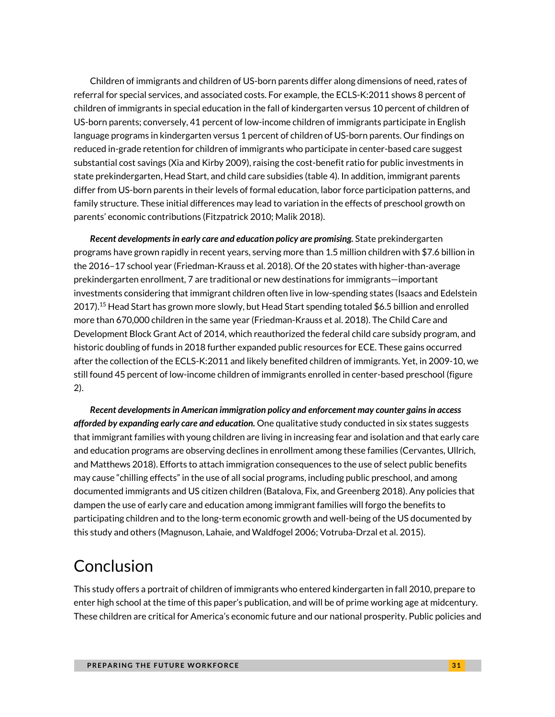Children of immigrants and children of US-born parents differ along dimensions of need, rates of referral for special services, and associated costs. For example, the ECLS-K:2011 shows 8 percent of children of immigrants in special education in the fall of kindergarten versus 10 percent of children of US-born parents; conversely, 41 percent of low-income children of immigrants participate in English language programs in kindergarten versus 1 percent of children of US-born parents. Our findings on reduced in-grade retention for children of immigrants who participate in center-based care suggest substantial cost savings (Xia and Kirby 2009), raising the cost-benefit ratio for public investments in state prekindergarten, Head Start, and child care subsidies (table 4). In addition, immigrant parents differ from US-born parents in their levels of formal education, labor force participation patterns, and family structure. These initial differences may lead to variation in the effects of preschool growth on parents' economic contributions (Fitzpatrick 2010; Malik 2018).

*Recent developments in early care and education policy are promising.* State prekindergarten programs have grown rapidly in recent years, serving more than 1.5 million children with \$7.6 billion in the 2016–17 school year (Friedman-Krauss et al. 2018). Of the 20 states with higher-than-average prekindergarten enrollment, 7 are traditional or new destinations for immigrants—important investments considering that immigrant children often live in low-spending states (Isaacs and Edelstein 2017).<sup>15</sup> Head Start has grown more slowly, but Head Start spending totaled \$6.5 billion and enrolled more than 670,000 children in the same year (Friedman-Krauss et al. 2018). The Child Care and Development Block Grant Act of 2014, which reauthorized the federal child care subsidy program, and historic doubling of funds in 2018 further expanded public resources for ECE. These gains occurred after the collection of the ECLS-K:2011 and likely benefited children of immigrants. Yet, in 2009-10, we still found 45 percent of low-income children of immigrants enrolled in center-based preschool (figure 2).

*Recent developments in American immigration policy and enforcement may counter gains in access afforded by expanding early care and education.* One qualitative study conducted in six states suggests that immigrant families with young children are living in increasing fear and isolation and that early care and education programs are observing declines in enrollment among these families (Cervantes, Ullrich, and Matthews 2018). Efforts to attach immigration consequences to the use of select public benefits may cause "chilling effects" in the use of all social programs, including public preschool, and among documented immigrants and US citizen children (Batalova, Fix, and Greenberg 2018). Any policies that dampen the use of early care and education among immigrant families will forgo the benefits to participating children and to the long-term economic growth and well-being of the US documented by this study and others (Magnuson, Lahaie, and Waldfogel 2006; Votruba-Drzal et al. 2015).

# Conclusion

This study offers a portrait of children of immigrants who entered kindergarten in fall 2010, prepare to enter high school at the time of this paper's publication, and will be of prime working age at midcentury. These children are critical for America's economic future and our national prosperity. Public policies and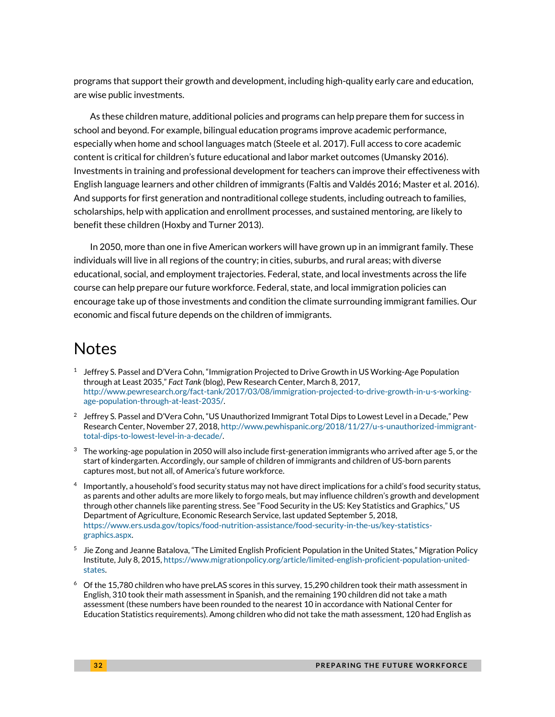programs that support their growth and development, including high-quality early care and education, are wise public investments.

As these children mature, additional policies and programs can help prepare them for success in school and beyond. For example, bilingual education programs improve academic performance, especially when home and school languages match (Steele et al. 2017). Full access to core academic content is critical for children's future educational and labor market outcomes (Umansky 2016). Investments in training and professional development for teachers can improve their effectiveness with English language learners and other children of immigrants (Faltis and Valdés 2016; Master et al. 2016). And supports for first generation and nontraditional college students, including outreach to families, scholarships, help with application and enrollment processes, and sustained mentoring, are likely to benefit these children (Hoxby and Turner 2013).

In 2050, more than one in five American workers will have grown up in an immigrant family. These individuals will live in all regions of the country; in cities, suburbs, and rural areas; with diverse educational, social, and employment trajectories. Federal, state, and local investments across the life course can help prepare our future workforce. Federal, state, and local immigration policies can encourage take up of those investments and condition the climate surrounding immigrant families. Our economic and fiscal future depends on the children of immigrants.

### Notes

- $1$  Jeffrey S. Passel and D'Vera Cohn, "Immigration Projected to Drive Growth in US Working-Age Population through at Least 2035," *Fact Tank* (blog), Pew Research Center, March 8, 2017, [http://www.pewresearch.org/fact-tank/2017/03/08/immigration-projected-to-drive-growth-in-u-s-working](http://www.pewresearch.org/fact-tank/2017/03/08/immigration-projected-to-drive-growth-in-u-s-working-age-population-through-at-least-2035/)[age-population-through-at-least-2035/.](http://www.pewresearch.org/fact-tank/2017/03/08/immigration-projected-to-drive-growth-in-u-s-working-age-population-through-at-least-2035/)
- $^2$  Jeffrey S. Passel and D'Vera Cohn, "US Unauthorized Immigrant Total Dips to Lowest Level in a Decade," Pew Research Center, November 27, 2018[, http://www.pewhispanic.org/2018/11/27/u-s-unauthorized-immigrant](http://www.pewhispanic.org/2018/11/27/u-s-unauthorized-immigrant-total-dips-to-lowest-level-in-a-decade/)[total-dips-to-lowest-level-in-a-decade/.](http://www.pewhispanic.org/2018/11/27/u-s-unauthorized-immigrant-total-dips-to-lowest-level-in-a-decade/)
- $3$  The working-age population in 2050 will also include first-generation immigrants who arrived after age 5, or the start of kindergarten. Accordingly, our sample of children of immigrants and children of US-born parents captures most, but not all, of America's future workforce.
- 4 Importantly, a household's food security status may not have direct implications for a child's food security status, as parents and other adults are more likely to forgo meals, but may influence children's growth and development through other channels like parenting stress. See "Food Security in the US: Key Statistics and Graphics," US Department of Agriculture, Economic Research Service, last updated September 5, 2018, [https://www.ers.usda.gov/topics/food-nutrition-assistance/food-security-in-the-us/key-statistics](https://www.ers.usda.gov/topics/food-nutrition-assistance/food-security-in-the-us/key-statistics-graphics.aspx)[graphics.aspx.](https://www.ers.usda.gov/topics/food-nutrition-assistance/food-security-in-the-us/key-statistics-graphics.aspx)
- 5 Jie Zong and Jeanne Batalova, "The Limited English Proficient Population in the United States," Migration Policy Institute, July 8, 2015[, https://www.migrationpolicy.org/article/limited-english-proficient-population-united](https://www.migrationpolicy.org/article/limited-english-proficient-population-united-states)[states.](https://www.migrationpolicy.org/article/limited-english-proficient-population-united-states)
- $6$  Of the 15,780 children who have preLAS scores in this survey, 15,290 children took their math assessment in English, 310 took their math assessment in Spanish, and the remaining 190 children did not take a math assessment (these numbers have been rounded to the nearest 10 in accordance with National Center for Education Statistics requirements). Among children who did not take the math assessment, 120 had English as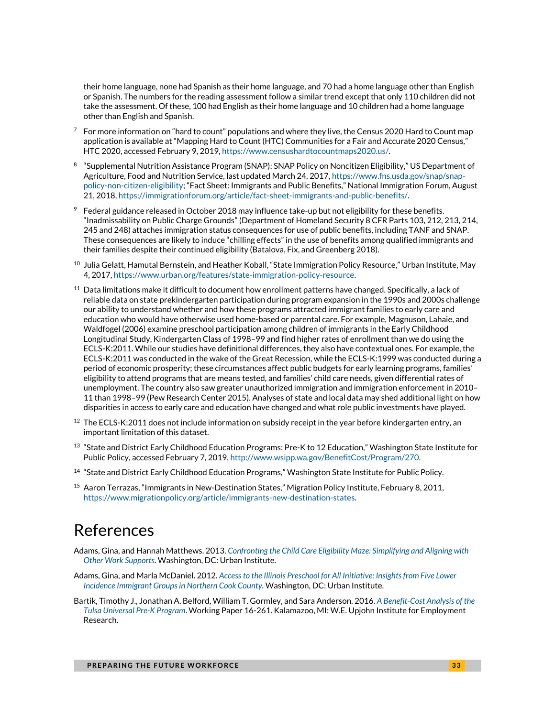their home language, none had Spanish as their home language, and 70 had a home language other than English or Spanish. The numbers for the reading assessment follow a similar trend except that only 110 children did not take the assessment. Of these, 100 had English as their home language and 10 children had a home language other than English and Spanish.

- $^7$  For more information on "hard to count" populations and where they live, the Census 2020 Hard to Count map application is available at "Mapping Hard to Count (HTC) Communities for a Fair and Accurate 2020 Census," HTC 2020, accessed February 9, 2019, [https://www.censushardtocountmaps2020.us/.](https://www.censushardtocountmaps2020.us/)
- 8 "Supplemental Nutrition Assistance Program (SNAP): SNAP Policy on Noncitizen Eligibility," US Department of Agriculture, Food and Nutrition Service, last updated March 24, 2017[, https://www.fns.usda.gov/snap/snap](https://www.fns.usda.gov/snap/snap-policy-non-citizen-eligibility)[policy-non-citizen-eligibility](https://www.fns.usda.gov/snap/snap-policy-non-citizen-eligibility); "Fact Sheet: Immigrants and Public Benefits," National Immigration Forum, August 21, 2018[, https://immigrationforum.org/article/fact-sheet-immigrants-and-public-benefits/.](https://immigrationforum.org/article/fact-sheet-immigrants-and-public-benefits/)
- $9$  Federal guidance released in October 2018 may influence take-up but not eligibility for these benefits. "Inadmissability on Public Charge Grounds" (Department of Homeland Security 8 CFR Parts 103, 212, 213, 214, 245 and 248) attaches immigration status consequences for use of public benefits, including TANF and SNAP. These consequences are likely to induce "chilling effects" in the use of benefits among qualified immigrants and their families despite their continued eligibility (Batalova, Fix, and Greenberg 2018).
- $^{10}$  Julia Gelatt, Hamutal Bernstein, and Heather Koball, "State Immigration Policy Resource," Urban Institute, May 4, 2017[, https://www.urban.org/features/state-immigration-policy-resource.](https://www.urban.org/features/state-immigration-policy-resource)
- $11$  Data limitations make it difficult to document how enrollment patterns have changed. Specifically, a lack of reliable data on state prekindergarten participation during program expansion in the 1990s and 2000s challenge our ability to understand whether and how these programs attracted immigrant families to early care and education who would have otherwise used home-based or parental care. For example, Magnuson, Lahaie, and Waldfogel (2006) examine preschool participation among children of immigrants in the Early Childhood Longitudinal Study, Kindergarten Class of 1998–99 and find higher rates of enrollment than we do using the ECLS-K:2011. While our studies have definitional differences, they also have contextual ones. For example, the ECLS-K:2011 was conducted in the wake of the Great Recession, while the ECLS-K:1999 was conducted during a period of economic prosperity; these circumstances affect public budgets for early learning programs, families' eligibility to attend programs that are means tested, and families' child care needs, given differential rates of unemployment. The country also saw greater unauthorized immigration and immigration enforcement in 2010– 11 than 1998–99 (Pew Research Center 2015). Analyses of state and local data may shed additional light on how disparities in access to early care and education have changed and what role public investments have played.
- $12$  The ECLS-K:2011 does not include information on subsidy receipt in the year before kindergarten entry, an important limitation of this dataset.
- $^{13}$  "State and District Early Childhood Education Programs: Pre-K to 12 Education," Washington State Institute for Public Policy, accessed February 7, 2019[, http://www.wsipp.wa.gov/BenefitCost/Program/270.](http://www.wsipp.wa.gov/BenefitCost/Program/270)
- <sup>14</sup> "State and District Early Childhood Education Programs," Washington State Institute for Public Policy.
- <sup>15</sup> Aaron Terrazas, "Immigrants in New-Destination States," Migration Policy Institute, February 8, 2011, [https://www.migrationpolicy.org/article/immigrants-new-destination-states.](https://www.migrationpolicy.org/article/immigrants-new-destination-states)

### References

- Adams, Gina, and Hannah Matthews. 2013. *[Confronting the Child Care Eligibility Maze: Simplifying and Aligning with](https://www.urban.org/research/publication/confronting-child-care-eligibility-maze)  [Other Work Supports](https://www.urban.org/research/publication/confronting-child-care-eligibility-maze)*. Washington, DC: Urban Institute.
- Adams, Gina, and Marla McDaniel. 2012. *[Access to the Illinois Preschool for All Initiative: Insights from Five Lower](https://www.urban.org/sites/default/files/publication/26241/412704-Access-to-the-Illinois-Preschool-for-All-Initiative-Insights-from-Five-Lower-Incidence-Immigrant-Groups-in-Northern-Cook-County.PDF)  Incidence [Immigrant Groups in Northern Cook County.](https://www.urban.org/sites/default/files/publication/26241/412704-Access-to-the-Illinois-Preschool-for-All-Initiative-Insights-from-Five-Lower-Incidence-Immigrant-Groups-in-Northern-Cook-County.PDF)* Washington, DC: Urban Institute.
- Bartik, Timothy J., Jonathan A. Belford, William T. Gormley, and Sara Anderson. 2016. *[A Benefit-Cost Analysis of the](https://research.upjohn.org/cgi/viewcontent.cgi?article=1279&context=up_workingpapers)  [Tulsa Universal Pre-K Program](https://research.upjohn.org/cgi/viewcontent.cgi?article=1279&context=up_workingpapers)*. Working Paper 16-261. Kalamazoo, MI: W.E. Upjohn Institute for Employment Research.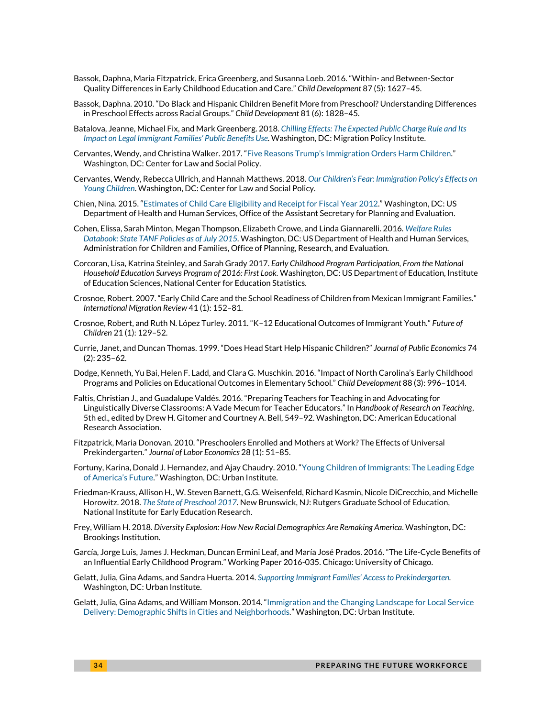- Bassok, Daphna, Maria Fitzpatrick, Erica Greenberg, and Susanna Loeb. 2016. "Within- and Between-Sector Quality Differences in Early Childhood Education and Care." *Child Development* 87 (5): 1627–45.
- Bassok, Daphna. 2010. "Do Black and Hispanic Children Benefit More from Preschool? Understanding Differences in Preschool Effects across Racial Groups." *Child Development* 81 (6): 1828–45.
- Batalova, Jeanne, Michael Fix, and Mark Greenberg. 2018. *[Chilling Effects: The Expected Public Charge Rule and Its](https://www.migrationpolicy.org/research/chilling-effects-expected-public-charge-rule-impact-legal-immigrant-families)  [Impact on Legal Immigrant Families](https://www.migrationpolicy.org/research/chilling-effects-expected-public-charge-rule-impact-legal-immigrant-families)' Public Benefits Use.* Washington, DC: Migration Policy Institute.
- Cervantes, Wendy, and Christina Walker. 2017. "Five Reasons Trump'[s Immigration Orders Harm Children.](https://www.clasp.org/publications/report/brief/five-reasons-trump-s-immigration-orders-harm-children)" Washington, DC: Center for Law and Social Policy.
- Cervantes, Wendy, Rebecca Ullrich, and Hannah Matthews. 2018. *Our Children'[s Fear: Immigration Policy](https://www.clasp.org/publications/report/brief/our-childrens-fear-immigration-policys-effects-young-children)'s Effects on [Young Children](https://www.clasp.org/publications/report/brief/our-childrens-fear-immigration-policys-effects-young-children)*. Washington, DC: Center for Law and Social Policy.
- Chien, Nina. 2015. "[Estimates of Child Care Eligibility and Receipt for Fiscal Year 2012.](https://aspe.hhs.gov/pdf-report/estimates-child-care-eligibility-and-receipt-fiscal-year-2012)" Washington, DC: US Department of Health and Human Services, Office of the Assistant Secretary for Planning and Evaluation.
- Cohen, Elissa, Sarah Minton, Megan Thompson, Elizabeth Crowe, and Linda Giannarelli. 2016. *[Welfare Rules](https://www.acf.hhs.gov/opre/resource/welfare-rules-databook-state-tanf-policies-as-of-july-2015)  [Databook: State TANF Policies as of July 2015.](https://www.acf.hhs.gov/opre/resource/welfare-rules-databook-state-tanf-policies-as-of-july-2015)* Washington, DC: US Department of Health and Human Services, Administration for Children and Families, Office of Planning, Research, and Evaluation.
- Corcoran, Lisa, Katrina Steinley, and Sarah Grady 2017. *Early Childhood Program Participation, From the National Household Education Surveys Program of 2016: First Look.* Washington, DC: US Department of Education, Institute of Education Sciences, National Center for Education Statistics.
- Crosnoe, Robert. 2007. "Early Child Care and the School Readiness of Children from Mexican Immigrant Families." *International Migration Review* 41 (1): 152–81.
- Crosnoe, Robert, and Ruth N. López Turley. 2011. "K–12 Educational Outcomes of Immigrant Youth." *Future of Children* 21 (1): 129–52.
- Currie, Janet, and Duncan Thomas. 1999. "Does Head Start Help Hispanic Children?" *Journal of Public Economics* 74 (2): 235–62.
- Dodge, Kenneth, Yu Bai, Helen F. Ladd, and Clara G. Muschkin. 2016. "Impact of North Carolina's Early Childhood Programs and Policies on Educational Outcomes in Elementary School." *Child Development* 88 (3): 996–1014.
- Faltis, Christian J., and Guadalupe Valdés. 2016. "Preparing Teachers for Teaching in and Advocating for Linguistically Diverse Classrooms: A Vade Mecum for Teacher Educators." In *Handbook of Research on Teaching*, 5th ed., edited by Drew H. Gitomer and Courtney A. Bell, 549–92. Washington, DC: American Educational Research Association.
- Fitzpatrick, Maria Donovan. 2010. "Preschoolers Enrolled and Mothers at Work? The Effects of Universal Prekindergarten." *Journal of Labor Economics* 28 (1): 51–85.
- Fortuny, Karina, Donald J. Hernandez, and Ajay Chaudry. 2010. "[Young Children of Immigrants: The Leading Edge](https://www.urban.org/research/publication/young-children-immigrants-leading-edge-americas-future)  [of America](https://www.urban.org/research/publication/young-children-immigrants-leading-edge-americas-future)'s Future." Washington, DC: Urban Institute.
- Friedman-Krauss, Allison H., W. Steven Barnett, G.G. Weisenfeld, Richard Kasmin, Nicole DiCrecchio, and Michelle Horowitz. 2018. *[The State of Preschool 2017.](http://nieer.org/state-preschool-yearbooks/yearbook2017)* New Brunswick, NJ: Rutgers Graduate School of Education, National Institute for Early Education Research.
- Frey, William H. 2018. *Diversity Explosion: How New Racial Demographics Are Remaking America*. Washington, DC: Brookings Institution.
- García, Jorge Luis, James J. Heckman, Duncan Ermini Leaf, and María José Prados. 2016. "The Life-Cycle Benefits of an Influential Early Childhood Program." Working Paper 2016-035. Chicago: University of Chicago.
- Gelatt, Julia, Gina Adams, and Sandra Huerta. 2014. *[Supporting Immigrant Families](https://www.urban.org/research/publication/supporting-immigrant-families-access-prekindergarten)' Access to Prekindergarten.* Washington, DC: Urban Institute.
- Gelatt, Julia, Gina Adams, and William Monson. 2014. "[Immigration and the Changing Landscape for Local](https://www.urban.org/research/publication/immigration-and-changing-landscape-local-service-delivery) Service [Delivery: Demographic Shifts in Cities and Neighborhoods](https://www.urban.org/research/publication/immigration-and-changing-landscape-local-service-delivery)*.*" Washington, DC: Urban Institute.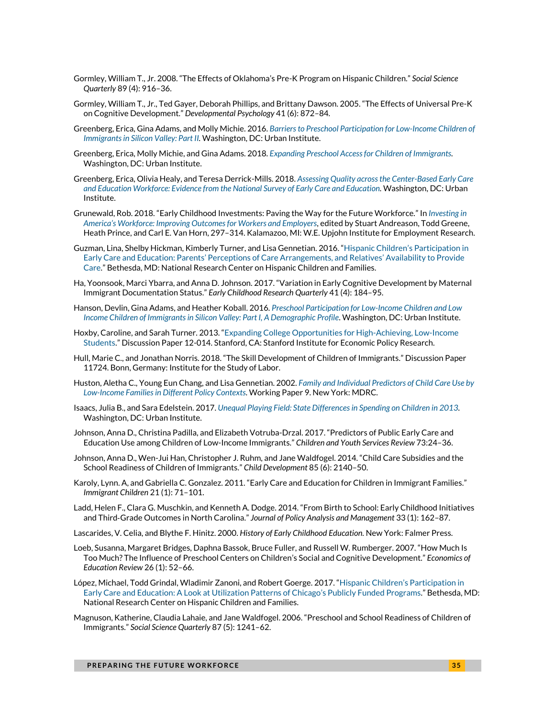- Gormley, William T., Jr. 2008. "The Effects of Oklahoma's Pre-K Program on Hispanic Children." *Social Science Quarterly* 89 (4): 916–36.
- Gormley, William T., Jr., Ted Gayer, Deborah Phillips, and Brittany Dawson. 2005. "The Effects of Universal Pre-K on Cognitive Development." *Developmental Psychology* 41 (6): 872–84*.*
- Greenberg, Erica, Gina Adams, and Molly Michie. 2016. *[Barriers to Preschool Participation for Low-Income Children of](https://www.urban.org/research/publication/barriers-preschool-participation-low-income-children-immigrants-silicon-valley-part-ii)  [Immigrants in Silicon Valley: Part II.](https://www.urban.org/research/publication/barriers-preschool-participation-low-income-children-immigrants-silicon-valley-part-ii)* Washington, DC: Urban Institute.
- Greenberg, Erica, Molly Michie, and Gina Adams. 2018. *[Expanding Preschool Access for Children of Immigrants.](https://www.urban.org/research/publication/expanding-preschool-access-children-immigrants)* Washington, DC: Urban Institute.
- Greenberg, Erica, Olivia Healy, and Teresa Derrick-Mills. 2018. *[Assessing Quality across the Center-Based Early Care](https://www.urban.org/research/publication/assessing-quality-across-center-based-early-care-and-education-workforce)  [and Education Workforce: Evidence from the National Survey of Early Care and Education.](https://www.urban.org/research/publication/assessing-quality-across-center-based-early-care-and-education-workforce)* Washington, DC: Urban Institute.
- Grunewald, Rob. 2018. "Early Childhood Investments: Paving the Way for the Future Workforce." In *[Investing in](https://www.investinwork.org/-/media/Files/volume-one/Volume%201%20-%20Investing%20in%20Workers.pdf?la=en)  America'[s Workforce: Improving Outcomes for Workers and Employers](https://www.investinwork.org/-/media/Files/volume-one/Volume%201%20-%20Investing%20in%20Workers.pdf?la=en)*, edited by Stuart Andreason, Todd Greene, Heath Prince, and Carl E. Van Horn, 297–314. Kalamazoo, MI: W.E. Upjohn Institute for Employment Research.
- Guzman, Lina, Shelby Hickman, Kimberly Turner, and Lisa Gennetian. 2016. "[Hispanic Children](https://www.childtrends.org/publications/hispanic-childrens-participation-early-care-education-parents-perceptions-care-arrangements-relatives-availability-provide-care)'s Participation in Early Care and Education: Parents' [Perceptions of Care Arrangements, and Relatives](https://www.childtrends.org/publications/hispanic-childrens-participation-early-care-education-parents-perceptions-care-arrangements-relatives-availability-provide-care)' Availability to Provide [Care.](https://www.childtrends.org/publications/hispanic-childrens-participation-early-care-education-parents-perceptions-care-arrangements-relatives-availability-provide-care)" Bethesda, MD: National Research Center on Hispanic Children and Families.
- Ha, Yoonsook, Marci Ybarra, and Anna D. Johnson. 2017. "Variation in Early Cognitive Development by Maternal Immigrant Documentation Status." *Early Childhood Research Quarterly* 41 (4): 184–95.
- Hanson, Devlin, Gina Adams, and Heather Koball. 2016*[. Preschool Participation for Low-Income Children and Low](https://www.urban.org/research/publication/preschool-participation-low-income-children-and-low-income-children-immigrants-silicon-valley-part-i-demographic-profile)  [Income Children of Immigrants in Silicon Valley: Part I, A Demographic Profile](https://www.urban.org/research/publication/preschool-participation-low-income-children-and-low-income-children-immigrants-silicon-valley-part-i-demographic-profile)*. Washington, DC: Urban Institute.
- Hoxby, Caroline, and Sarah Turner. 2013. "[Expanding College Opportunities for High-Achieving, Low-Income](https://siepr.stanford.edu/research/publications/expanding-college-opportunities-high-achieving-low-income-students)  [Students.](https://siepr.stanford.edu/research/publications/expanding-college-opportunities-high-achieving-low-income-students)" Discussion Paper 12-014. Stanford, CA: Stanford Institute for Economic Policy Research.
- Hull, Marie C., and Jonathan Norris. 2018. "The Skill Development of Children of Immigrants." Discussion Paper 11724. Bonn, Germany: Institute for the Study of Labor.
- Huston, Aletha C., Young Eun Chang, and Lisa Gennetian. 2002. *[Family and Individual Predictors of Child Care Use by](https://www.mdrc.org/sites/default/files/full_102.pdf)  [Low-Income Families in Different Policy Contexts](https://www.mdrc.org/sites/default/files/full_102.pdf)*. Working Paper 9. New York: MDRC.
- Isaacs, Julia B., and Sara Edelstein. 2017. *[Unequal Playing Field: State Differences in Spending on Children in 2013.](https://www.urban.org/research/publication/unequal-playing-field)* Washington, DC: Urban Institute.
- Johnson, Anna D., Christina Padilla, and Elizabeth Votruba-Drzal. 2017. "Predictors of Public Early Care and Education Use among Children of Low-Income Immigrants." *Children and Youth Services Review* 73:24–36.
- Johnson, Anna D., Wen-Jui Han, Christopher J. Ruhm, and Jane Waldfogel. 2014. "Child Care Subsidies and the School Readiness of Children of Immigrants." *Child Development* 85 (6): 2140–50.
- Karoly, Lynn. A, and Gabriella C. Gonzalez. 2011. "Early Care and Education for Children in Immigrant Families." *Immigrant Children* 21 (1): 71–101.
- Ladd, Helen F., Clara G. Muschkin, and Kenneth A. Dodge. 2014. "From Birth to School: Early Childhood Initiatives and Third‐Grade Outcomes in North Carolina." *Journal of Policy Analysis and Management* 33 (1): 162–87.
- Lascarides, V. Celia, and Blythe F. Hinitz. 2000. *History of Early Childhood Education.* New York: Falmer Press.
- Loeb, Susanna, Margaret Bridges, Daphna Bassok, Bruce Fuller, and Russell W. Rumberger. 2007. "How Much Is Too Much? The Influence of Preschool Centers on Children's Social and Cognitive Development." *Economics of Education Review* 26 (1): 52–66.
- López, Michael, Todd Grindal, Wladimir Zanoni, and Robert Goerge. 2017. "[Hispanic Children](https://www.childtrends.org/publications/hispanic-children-chicago-ece)'s Participation in [Early Care and Education: A Look at Utilization Patterns of Chicago](https://www.childtrends.org/publications/hispanic-children-chicago-ece)'s Publicly Funded Programs." Bethesda, MD: National Research Center on Hispanic Children and Families.
- Magnuson, Katherine, Claudia Lahaie, and Jane Waldfogel. 2006. "Preschool and School Readiness of Children of Immigrants." *Social Science Quarterly* 87 (5): 1241–62.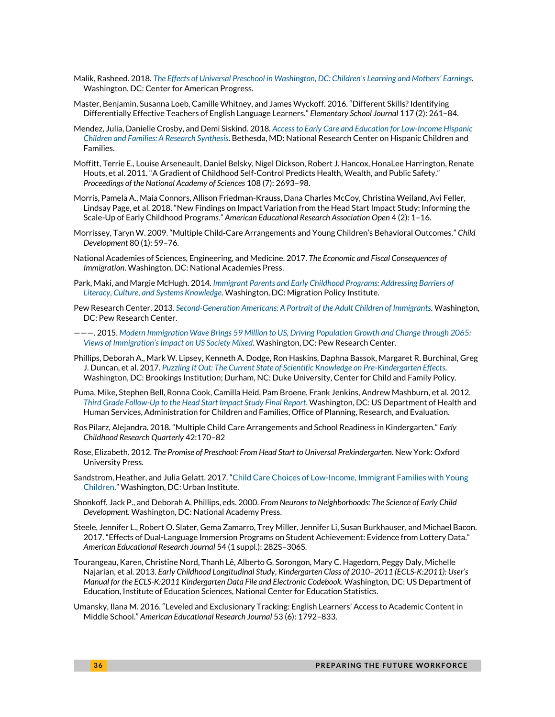- Malik, Rasheed. 2018. *The [Effects of Universal Preschool in Washington, DC: Children](https://www.americanprogress.org/issues/early-childhood/reports/2018/09/26/458208/effects-universal-preschool-washington-d-c/)'s Learning and Mothers' Earnings.* Washington, DC: Center for American Progress.
- Master, Benjamin, Susanna Loeb, Camille Whitney, and James Wyckoff. 2016. "Different Skills? Identifying Differentially Effective Teachers of English Language Learners." *Elementary School Journal* 117 (2): 261–84.
- Mendez, Julia, Danielle Crosby, and Demi Siskind. 2018. *[Access to Early Care and Education for Low-Income Hispanic](http://www.hispanicresearchcenter.org/wp-content/uploads/2018/09/Hispanics-Center-ECE-Synthesis-Brief-9.19.pdf)  [Children and Families: A Research Synthesis.](http://www.hispanicresearchcenter.org/wp-content/uploads/2018/09/Hispanics-Center-ECE-Synthesis-Brief-9.19.pdf)* Bethesda, MD: National Research Center on Hispanic Children and Families.
- Moffitt, Terrie E., Louise Arseneault, Daniel Belsky, Nigel Dickson, Robert J. Hancox, HonaLee Harrington, Renate Houts, et al. 2011. "A Gradient of Childhood Self-Control Predicts Health, Wealth, and Public Safety." *Proceedings of the National Academy of Sciences* 108 (7): 2693–98.
- Morris, Pamela A., Maia Connors, Allison Friedman-Krauss, Dana Charles McCoy, Christina Weiland, Avi Feller, Lindsay Page, et al. 2018. "New Findings on Impact Variation from the Head Start Impact Study: Informing the Scale-Up of Early Childhood Program*s.*" *American Educational Research Association Open* 4 (2): 1–16.
- Morrissey, Taryn W. 2009. "Multiple Child‐Care Arrangements and Young Children's Behavioral Outcomes." *Child Development* 80 (1): 59–76.
- National Academies of Sciences, Engineering, and Medicine. 2017. *The Economic and Fiscal Consequences of Immigration*. Washington, DC: National Academies Press.
- Park, Maki, and Margie McHugh. 2014. *Immigrant [Parents and Early Childhood Programs: Addressing Barriers of](https://www.migrationpolicy.org/research/immigrant-parents-early-childhood-programs-barriers)  [Literacy, Culture, and Systems Knowledge.](https://www.migrationpolicy.org/research/immigrant-parents-early-childhood-programs-barriers)* Washington, DC: Migration Policy Institute.
- Pew Research Center. 2013. *[Second-Generation Americans: A Portrait of the Adult Children of Immigrants.](http://www.pewsocialtrends.org/2013/02/07/second-generation-americans/)* Washington, DC: Pew Research Center.
- ———. 2015. *[Modern Immigration Wave Brings 59 Million to US, Driving Population Growth and Change through 2065:](http://www.pewhispanic.org/2015/09/28/modern-immigration-wave-brings-59-million-to-u-s-driving-population-growth-and-change-through-2065/)  Views of Immigration'[s Impact on US Society Mixed](http://www.pewhispanic.org/2015/09/28/modern-immigration-wave-brings-59-million-to-u-s-driving-population-growth-and-change-through-2065/)*. Washington, DC: Pew Research Center.
- Phillips, Deborah A., Mark W. Lipsey, Kenneth A. Dodge, Ron Haskins, Daphna Bassok, Margaret R. Burchinal, Greg J. Duncan, et al. 2017. *[Puzzling It Out: The Current State of Scientific Knowledge on Pre-Kindergarten Effects.](https://www.brookings.edu/research/puzzling-it-out-the-current-state-of-scientific-knowledge-on-pre-kindergarten-effects/)* Washington, DC: Brookings Institution; Durham, NC: Duke University, Center for Child and Family Policy.
- Puma, Mike, Stephen Bell, Ronna Cook, Camilla Heid, Pam Broene, Frank Jenkins, Andrew Mashburn, et al. 2012*. [Third Grade Follow-Up to the Head Start Impact Study Final Report](https://www.acf.hhs.gov/opre/resource/third-grade-follow-up-to-the-head-start-impact-study-final-report)*. Washington, DC: US Department of Health and Human Services, Administration for Children and Families, Office of Planning, Research, and Evaluation.
- Ros Pilarz, Alejandra. 2018. "Multiple Child Care Arrangements and School Readiness in Kindergarten." *Early Childhood Research Quarterly* 42:170–82
- Rose, Elizabeth. 2012. *The Promise of Preschool: From Head Start to Universal Prekindergarten*. New York: Oxford University Press.
- Sandstrom, Heather, and Julia Gelatt. 2017. "[Child Care Choices of Low-Income, Immigrant Families with Young](https://www.urban.org/research/publication/child-care-choices-low-income-immigrant-families-young-children)  [Children.](https://www.urban.org/research/publication/child-care-choices-low-income-immigrant-families-young-children)" Washington, DC: Urban Institute.
- Shonkoff, Jack P., and Deborah A. Phillips, eds. 2000. *From Neurons to Neighborhoods: The Science of Early Child Development.* Washington, DC: National Academy Press.
- Steele, Jennifer L., Robert O. Slater, Gema Zamarro, Trey Miller, Jennifer Li, Susan Burkhauser, and Michael Bacon. 2017. "Effects of Dual-Language Immersion Programs on Student Achievement: Evidence from Lottery Data." *American Educational Research Journal* 54 (1 suppl.): 282S–306S.
- Tourangeau, Karen, Christine Nord, Thanh Lê, Alberto G. Sorongon, Mary C. Hagedorn, Peggy Daly, Michelle Najarian, et al. 2013. *Early Childhood Longitudinal Study, Kindergarten Class of 2010–2011 (ECLS-K:2011): User's Manual for the ECLS-K:2011 Kindergarten Data File and Electronic Codebook.* Washington, DC: US Department of Education, Institute of Education Sciences, National Center for Education Statistics.
- Umansky, Ilana M. 2016. "Leveled and Exclusionary Tracking: English Learners' Access to Academic Content in Middle School." *American Educational Research Journal* 53 (6): 1792–833.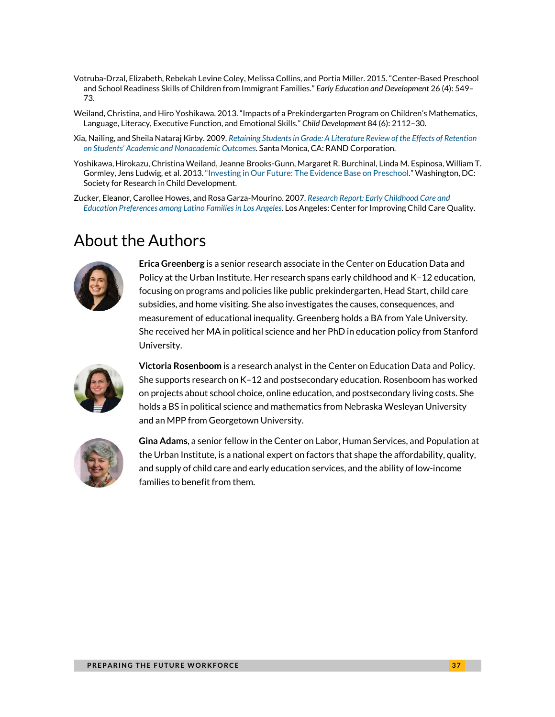- Votruba-Drzal, Elizabeth, Rebekah Levine Coley, Melissa Collins, and Portia Miller. 2015. "Center-Based Preschool and School Readiness Skills of Children from Immigrant Families." *Early Education and Development* 26 (4): 549– 73.
- Weiland, Christina, and Hiro Yoshikawa. 2013. "Impacts of a Prekindergarten Program on Children's Mathematics, Language, Literacy, Executive Function, and Emotional Skills." *Child Development* 84 (6): 2112–30.
- Xia, Nailing, and Sheila Nataraj Kirby. 2009. *[Retaining Students in Grade: A Literature Review of the Effects of Retention](https://www.rand.org/content/dam/rand/pubs/technical_reports/2009/RAND_TR678.pdf)  on Students' [Academic and Nonacademic Outcomes.](https://www.rand.org/content/dam/rand/pubs/technical_reports/2009/RAND_TR678.pdf)* Santa Monica, CA: RAND Corporation.
- Yoshikawa, Hirokazu, Christina Weiland, Jeanne Brooks-Gunn, Margaret R. Burchinal, Linda M. Espinosa, William T. Gormley, Jens Ludwig, et al. 2013. "[Investing in Our Future: The Evidence Base on Preschool](https://www.fcd-us.org/assets/2016/04/Evidence-Base-on-Preschool-Education-FINAL.pdf)*.*" Washington, DC: Society for Research in Child Development.
- Zucker, Eleanor, Carollee Howes, and Rosa Garza-Mourino. 2007. *[Research Report: Early Childhood Care and](https://ciccq.gseis.ucla.edu/publications/CICCQ_Latino%20ECE%20Preferences%20report_080307_FINAL.pdf)  [Education Preferences among Latino Families in Los Angeles.](https://ciccq.gseis.ucla.edu/publications/CICCQ_Latino%20ECE%20Preferences%20report_080307_FINAL.pdf)* Los Angeles: Center for Improving Child Care Quality.

### About the Authors



**Erica Greenberg** is a senior research associate in the Center on Education Data and Policy at the Urban Institute. Her research spans early childhood and K–12 education, focusing on programs and policies like public prekindergarten, Head Start, child care subsidies, and home visiting. She also investigates the causes, consequences, and measurement of educational inequality. Greenberg holds a BA from Yale University. She received her MA in political science and her PhD in education policy from Stanford University.



**Victoria Rosenboom** is a research analyst in the Center on Education Data and Policy. She supports research on K–12 and postsecondary education. Rosenboom has worked on projects about school choice, online education, and postsecondary living costs. She holds a BS in political science and mathematics from Nebraska Wesleyan University and an MPP from Georgetown University.



**Gina Adams**, a senior fellow in the Center on Labor, Human Services, and Population at the Urban Institute, is a national expert on factors that shape the affordability, quality, and supply of child care and early education services, and the ability of low-income families to benefit from them.